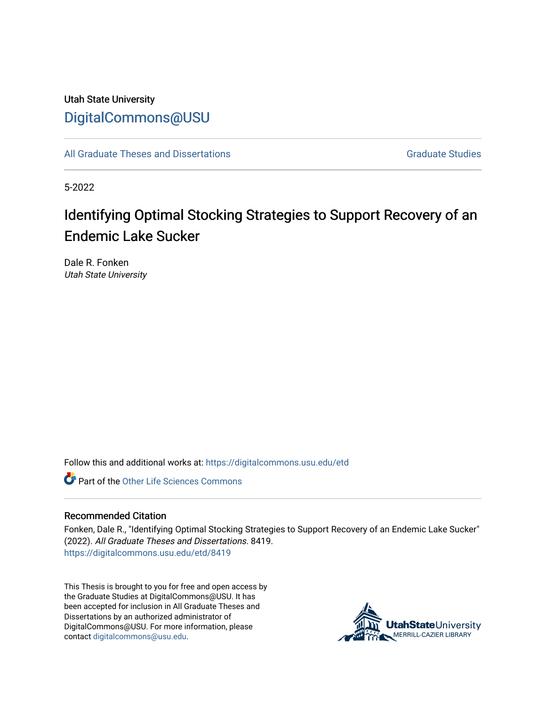## Utah State University [DigitalCommons@USU](https://digitalcommons.usu.edu/)

[All Graduate Theses and Dissertations](https://digitalcommons.usu.edu/etd) [Graduate Studies](https://digitalcommons.usu.edu/gradstudies) Graduate Studies

5-2022

## Identifying Optimal Stocking Strategies to Support Recovery of an Endemic Lake Sucker

Dale R. Fonken Utah State University

Follow this and additional works at: [https://digitalcommons.usu.edu/etd](https://digitalcommons.usu.edu/etd?utm_source=digitalcommons.usu.edu%2Fetd%2F8419&utm_medium=PDF&utm_campaign=PDFCoverPages) 

**C** Part of the Other Life Sciences Commons

#### Recommended Citation

Fonken, Dale R., "Identifying Optimal Stocking Strategies to Support Recovery of an Endemic Lake Sucker" (2022). All Graduate Theses and Dissertations. 8419. [https://digitalcommons.usu.edu/etd/8419](https://digitalcommons.usu.edu/etd/8419?utm_source=digitalcommons.usu.edu%2Fetd%2F8419&utm_medium=PDF&utm_campaign=PDFCoverPages)

This Thesis is brought to you for free and open access by the Graduate Studies at DigitalCommons@USU. It has been accepted for inclusion in All Graduate Theses and Dissertations by an authorized administrator of DigitalCommons@USU. For more information, please contact [digitalcommons@usu.edu](mailto:digitalcommons@usu.edu).

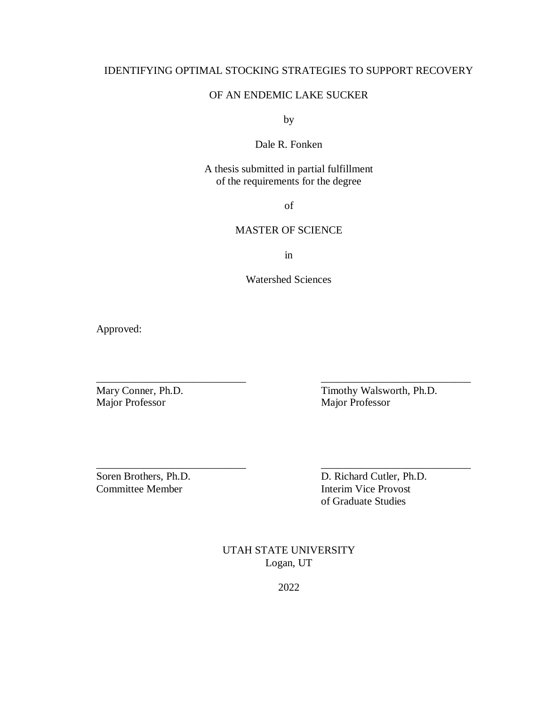## IDENTIFYING OPTIMAL STOCKING STRATEGIES TO SUPPORT RECOVERY

## OF AN ENDEMIC LAKE SUCKER

by

## Dale R. Fonken

## A thesis submitted in partial fulfillment of the requirements for the degree

of

## MASTER OF SCIENCE

in

Watershed Sciences

\_\_\_\_\_\_\_\_\_\_\_\_\_\_\_\_\_\_\_\_\_\_\_\_\_\_\_\_ \_\_\_\_\_\_\_\_\_\_\_\_\_\_\_\_\_\_\_\_\_\_\_\_\_\_\_\_

\_\_\_\_\_\_\_\_\_\_\_\_\_\_\_\_\_\_\_\_\_\_\_\_\_\_\_\_ \_\_\_\_\_\_\_\_\_\_\_\_\_\_\_\_\_\_\_\_\_\_\_\_\_\_\_\_

Approved:

Major Professor

Mary Conner, Ph.D.<br>
Major Professor<br>
Major Professor<br>
Major Professor

Committee Member **Interim Vice Provost** 

Soren Brothers, Ph.D. D. Richard Cutler, Ph.D. of Graduate Studies

> UTAH STATE UNIVERSITY Logan, UT

> > 2022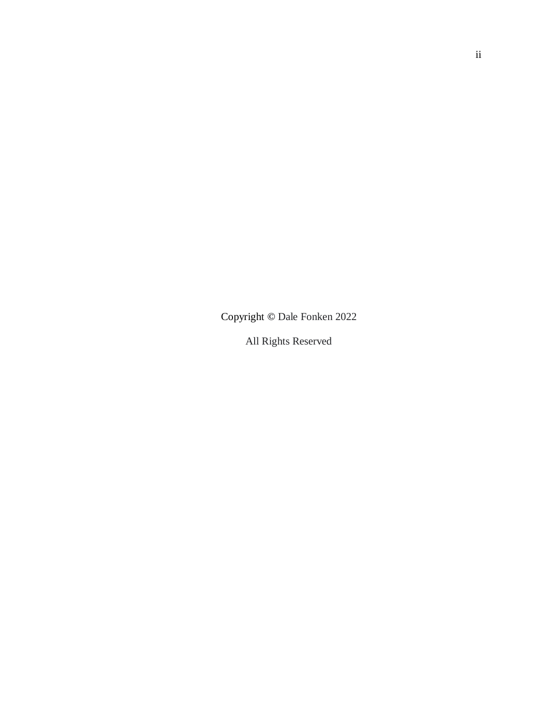Copyright **©** Dale Fonken 2022

All Rights Reserved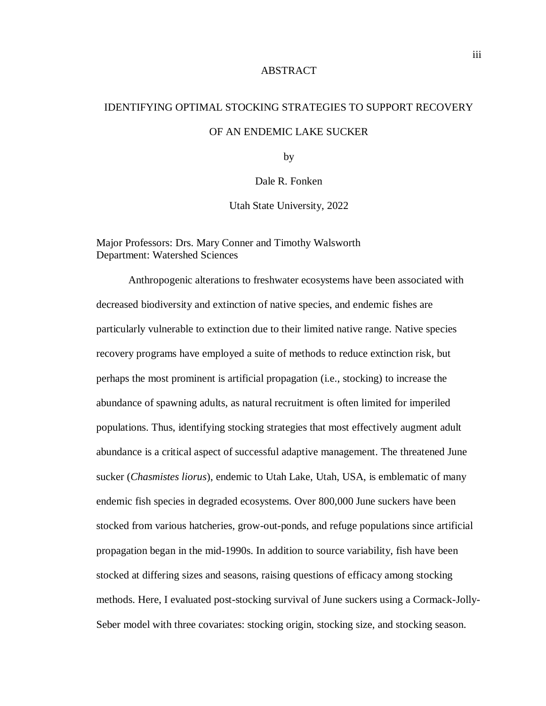#### ABSTRACT

# IDENTIFYING OPTIMAL STOCKING STRATEGIES TO SUPPORT RECOVERY OF AN ENDEMIC LAKE SUCKER

by

Dale R. Fonken

Utah State University, 2022

## Major Professors: Drs. Mary Conner and Timothy Walsworth Department: Watershed Sciences

Anthropogenic alterations to freshwater ecosystems have been associated with decreased biodiversity and extinction of native species, and endemic fishes are particularly vulnerable to extinction due to their limited native range. Native species recovery programs have employed a suite of methods to reduce extinction risk, but perhaps the most prominent is artificial propagation (i.e., stocking) to increase the abundance of spawning adults, as natural recruitment is often limited for imperiled populations. Thus, identifying stocking strategies that most effectively augment adult abundance is a critical aspect of successful adaptive management. The threatened June sucker (*Chasmistes liorus*), endemic to Utah Lake, Utah, USA, is emblematic of many endemic fish species in degraded ecosystems. Over 800,000 June suckers have been stocked from various hatcheries, grow-out-ponds, and refuge populations since artificial propagation began in the mid-1990s. In addition to source variability, fish have been stocked at differing sizes and seasons, raising questions of efficacy among stocking methods. Here, I evaluated post-stocking survival of June suckers using a Cormack-Jolly-Seber model with three covariates: stocking origin, stocking size, and stocking season.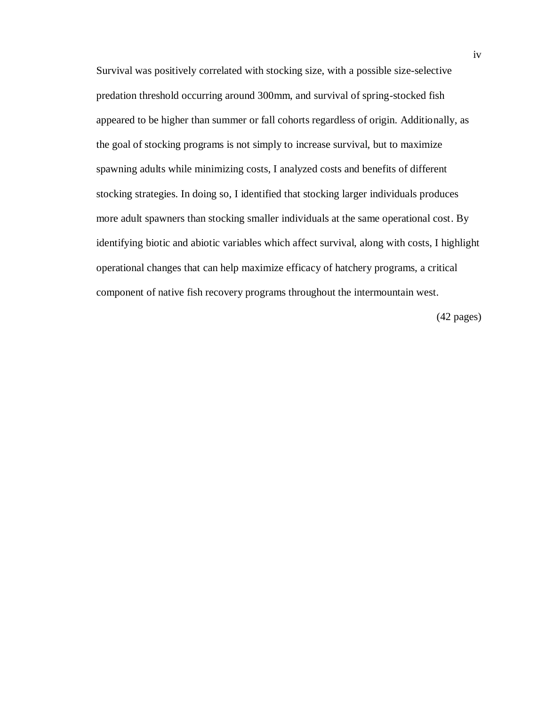Survival was positively correlated with stocking size, with a possible size-selective predation threshold occurring around 300mm, and survival of spring-stocked fish appeared to be higher than summer or fall cohorts regardless of origin. Additionally, as the goal of stocking programs is not simply to increase survival, but to maximize spawning adults while minimizing costs, I analyzed costs and benefits of different stocking strategies. In doing so, I identified that stocking larger individuals produces more adult spawners than stocking smaller individuals at the same operational cost. By identifying biotic and abiotic variables which affect survival, along with costs, I highlight operational changes that can help maximize efficacy of hatchery programs, a critical component of native fish recovery programs throughout the intermountain west.

(42 pages)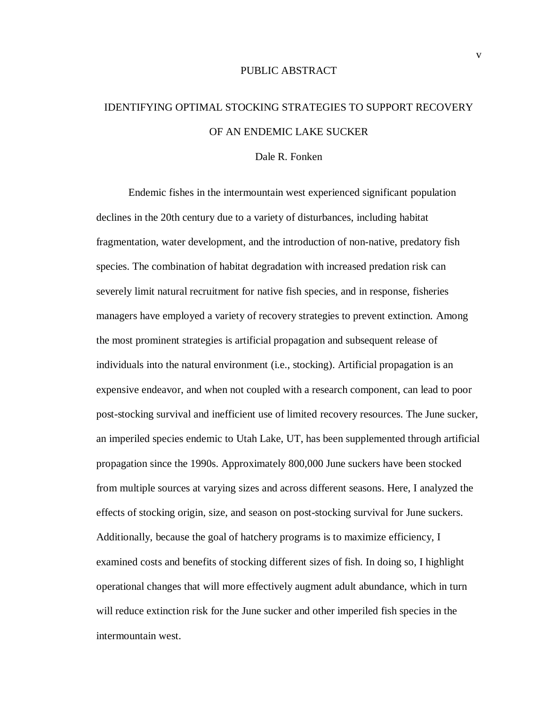### PUBLIC ABSTRACT

## IDENTIFYING OPTIMAL STOCKING STRATEGIES TO SUPPORT RECOVERY OF AN ENDEMIC LAKE SUCKER

#### Dale R. Fonken

Endemic fishes in the intermountain west experienced significant population declines in the 20th century due to a variety of disturbances, including habitat fragmentation, water development, and the introduction of non-native, predatory fish species. The combination of habitat degradation with increased predation risk can severely limit natural recruitment for native fish species, and in response, fisheries managers have employed a variety of recovery strategies to prevent extinction. Among the most prominent strategies is artificial propagation and subsequent release of individuals into the natural environment (i.e., stocking). Artificial propagation is an expensive endeavor, and when not coupled with a research component, can lead to poor post-stocking survival and inefficient use of limited recovery resources. The June sucker, an imperiled species endemic to Utah Lake, UT, has been supplemented through artificial propagation since the 1990s. Approximately 800,000 June suckers have been stocked from multiple sources at varying sizes and across different seasons. Here, I analyzed the effects of stocking origin, size, and season on post-stocking survival for June suckers. Additionally, because the goal of hatchery programs is to maximize efficiency, I examined costs and benefits of stocking different sizes of fish. In doing so, I highlight operational changes that will more effectively augment adult abundance, which in turn will reduce extinction risk for the June sucker and other imperiled fish species in the intermountain west.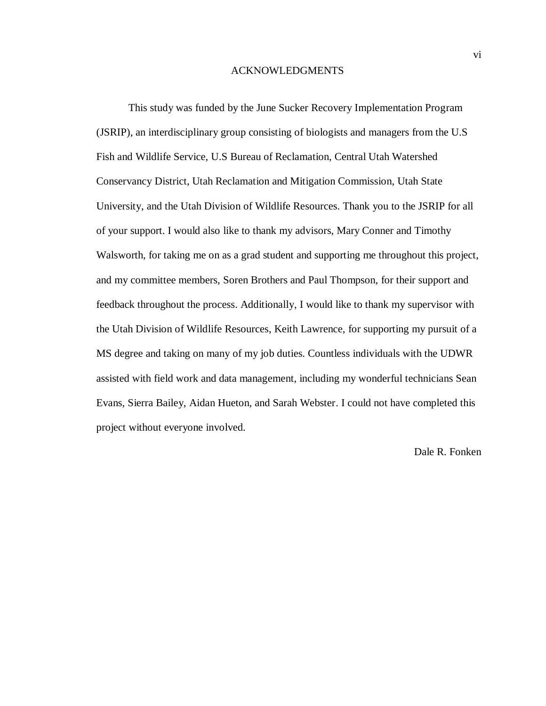#### ACKNOWLEDGMENTS

This study was funded by the June Sucker Recovery Implementation Program (JSRIP), an interdisciplinary group consisting of biologists and managers from the U.S Fish and Wildlife Service, U.S Bureau of Reclamation, Central Utah Watershed Conservancy District, Utah Reclamation and Mitigation Commission, Utah State University, and the Utah Division of Wildlife Resources. Thank you to the JSRIP for all of your support. I would also like to thank my advisors, Mary Conner and Timothy Walsworth, for taking me on as a grad student and supporting me throughout this project, and my committee members, Soren Brothers and Paul Thompson, for their support and feedback throughout the process. Additionally, I would like to thank my supervisor with the Utah Division of Wildlife Resources, Keith Lawrence, for supporting my pursuit of a MS degree and taking on many of my job duties. Countless individuals with the UDWR assisted with field work and data management, including my wonderful technicians Sean Evans, Sierra Bailey, Aidan Hueton, and Sarah Webster. I could not have completed this project without everyone involved.

### Dale R. Fonken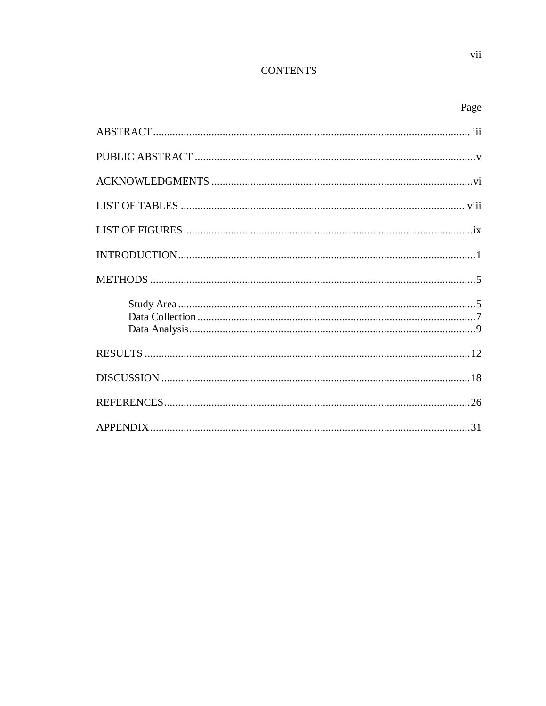## **CONTENTS**

| ×<br>۰. |
|---------|
|---------|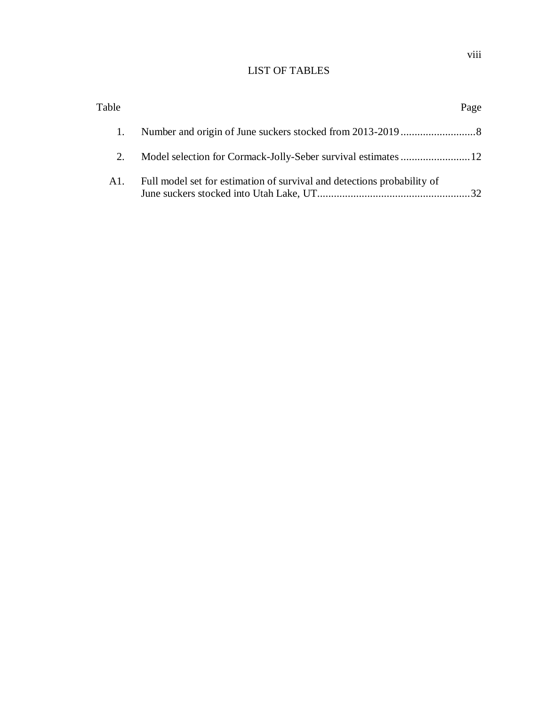## LIST OF TABLES

| Table |                                                                         | Page |
|-------|-------------------------------------------------------------------------|------|
|       |                                                                         |      |
| 2.    |                                                                         |      |
| A1.   | Full model set for estimation of survival and detections probability of |      |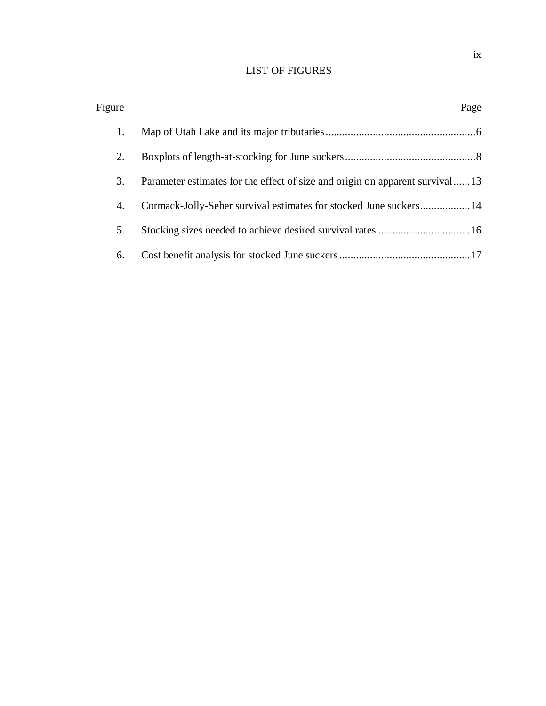## LIST OF FIGURES

| Figure |                                                                              | Page |
|--------|------------------------------------------------------------------------------|------|
| 1.     |                                                                              |      |
| 2.     |                                                                              |      |
| 3.     | Parameter estimates for the effect of size and origin on apparent survival13 |      |
| 4.     | Cormack-Jolly-Seber survival estimates for stocked June suckers 14           |      |
| 5.     | Stocking sizes needed to achieve desired survival rates  16                  |      |
| 6.     |                                                                              |      |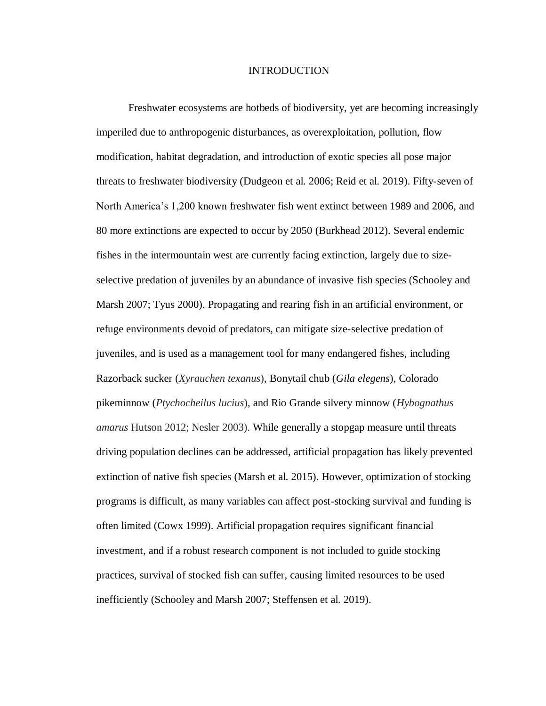#### INTRODUCTION

Freshwater ecosystems are hotbeds of biodiversity, yet are becoming increasingly imperiled due to anthropogenic disturbances, as overexploitation, pollution, flow modification, habitat degradation, and introduction of exotic species all pose major threats to freshwater biodiversity (Dudgeon et al. 2006; Reid et al. 2019). Fifty-seven of North America's 1,200 known freshwater fish went extinct between 1989 and 2006, and 80 more extinctions are expected to occur by 2050 (Burkhead 2012). Several endemic fishes in the intermountain west are currently facing extinction, largely due to sizeselective predation of juveniles by an abundance of invasive fish species (Schooley and Marsh 2007; Tyus 2000). Propagating and rearing fish in an artificial environment, or refuge environments devoid of predators, can mitigate size-selective predation of juveniles, and is used as a management tool for many endangered fishes, including Razorback sucker (*Xyrauchen texanus*), Bonytail chub (*Gila elegens*), Colorado pikeminnow (*Ptychocheilus lucius*), and Rio Grande silvery minnow (*Hybognathus amarus* Hutson 2012; Nesler 2003). While generally a stopgap measure until threats driving population declines can be addressed, artificial propagation has likely prevented extinction of native fish species (Marsh et al. 2015). However, optimization of stocking programs is difficult, as many variables can affect post-stocking survival and funding is often limited (Cowx 1999). Artificial propagation requires significant financial investment, and if a robust research component is not included to guide stocking practices, survival of stocked fish can suffer, causing limited resources to be used inefficiently (Schooley and Marsh 2007; Steffensen et al. 2019).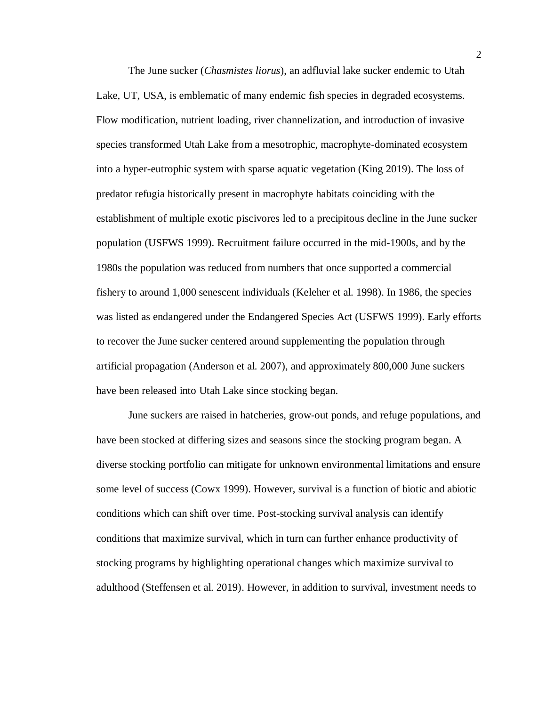The June sucker (*Chasmistes liorus*), an adfluvial lake sucker endemic to Utah Lake, UT, USA, is emblematic of many endemic fish species in degraded ecosystems. Flow modification, nutrient loading, river channelization, and introduction of invasive species transformed Utah Lake from a mesotrophic, macrophyte-dominated ecosystem into a hyper-eutrophic system with sparse aquatic vegetation (King 2019). The loss of predator refugia historically present in macrophyte habitats coinciding with the establishment of multiple exotic piscivores led to a precipitous decline in the June sucker population (USFWS 1999). Recruitment failure occurred in the mid-1900s, and by the 1980s the population was reduced from numbers that once supported a commercial fishery to around 1,000 senescent individuals (Keleher et al. 1998). In 1986, the species was listed as endangered under the Endangered Species Act (USFWS 1999). Early efforts to recover the June sucker centered around supplementing the population through artificial propagation (Anderson et al. 2007), and approximately 800,000 June suckers have been released into Utah Lake since stocking began.

June suckers are raised in hatcheries, grow-out ponds, and refuge populations, and have been stocked at differing sizes and seasons since the stocking program began. A diverse stocking portfolio can mitigate for unknown environmental limitations and ensure some level of success (Cowx 1999). However, survival is a function of biotic and abiotic conditions which can shift over time. Post-stocking survival analysis can identify conditions that maximize survival, which in turn can further enhance productivity of stocking programs by highlighting operational changes which maximize survival to adulthood (Steffensen et al. 2019). However, in addition to survival, investment needs to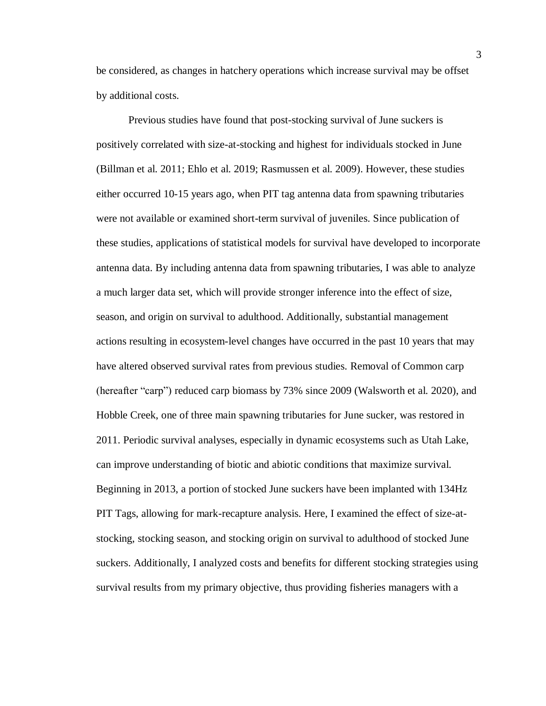be considered, as changes in hatchery operations which increase survival may be offset by additional costs.

Previous studies have found that post-stocking survival of June suckers is positively correlated with size-at-stocking and highest for individuals stocked in June (Billman et al. 2011; Ehlo et al. 2019; Rasmussen et al. 2009). However, these studies either occurred 10-15 years ago, when PIT tag antenna data from spawning tributaries were not available or examined short-term survival of juveniles. Since publication of these studies, applications of statistical models for survival have developed to incorporate antenna data. By including antenna data from spawning tributaries, I was able to analyze a much larger data set, which will provide stronger inference into the effect of size, season, and origin on survival to adulthood. Additionally, substantial management actions resulting in ecosystem-level changes have occurred in the past 10 years that may have altered observed survival rates from previous studies. Removal of Common carp (hereafter "carp") reduced carp biomass by 73% since 2009 (Walsworth et al. 2020), and Hobble Creek, one of three main spawning tributaries for June sucker, was restored in 2011. Periodic survival analyses, especially in dynamic ecosystems such as Utah Lake, can improve understanding of biotic and abiotic conditions that maximize survival. Beginning in 2013, a portion of stocked June suckers have been implanted with 134Hz PIT Tags, allowing for mark-recapture analysis. Here, I examined the effect of size-atstocking, stocking season, and stocking origin on survival to adulthood of stocked June suckers. Additionally, I analyzed costs and benefits for different stocking strategies using survival results from my primary objective, thus providing fisheries managers with a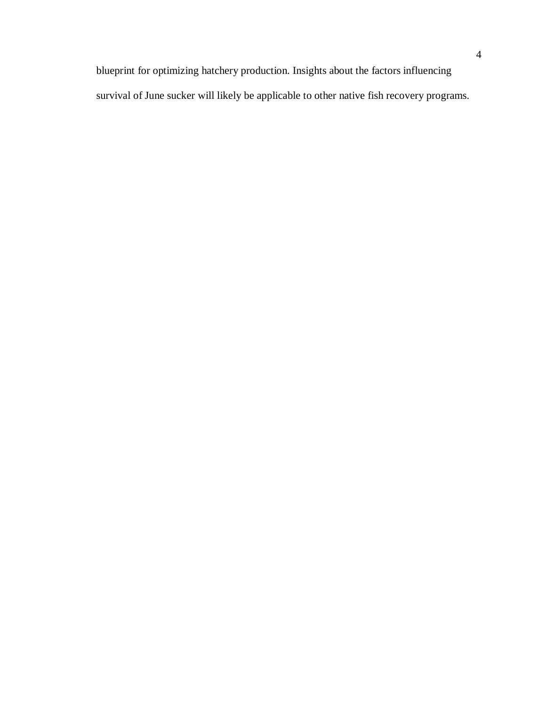blueprint for optimizing hatchery production. Insights about the factors influencing survival of June sucker will likely be applicable to other native fish recovery programs.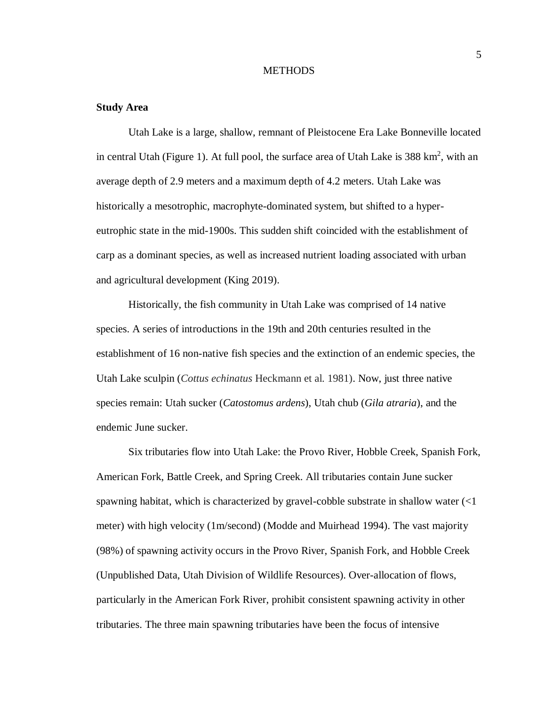#### **METHODS**

#### **Study Area**

Utah Lake is a large, shallow, remnant of Pleistocene Era Lake Bonneville located in central Utah (Figure 1). At full pool, the surface area of Utah Lake is  $388 \text{ km}^2$ , with an average depth of 2.9 meters and a maximum depth of 4.2 meters. Utah Lake was historically a mesotrophic, macrophyte-dominated system, but shifted to a hypereutrophic state in the mid-1900s. This sudden shift coincided with the establishment of carp as a dominant species, as well as increased nutrient loading associated with urban and agricultural development (King 2019).

Historically, the fish community in Utah Lake was comprised of 14 native species. A series of introductions in the 19th and 20th centuries resulted in the establishment of 16 non-native fish species and the extinction of an endemic species, the Utah Lake sculpin (*Cottus echinatus* Heckmann et al. 1981). Now, just three native species remain: Utah sucker (*Catostomus ardens*), Utah chub (*Gila atraria*), and the endemic June sucker.

Six tributaries flow into Utah Lake: the Provo River, Hobble Creek, Spanish Fork, American Fork, Battle Creek, and Spring Creek. All tributaries contain June sucker spawning habitat, which is characterized by gravel-cobble substrate in shallow water (<1 meter) with high velocity (1m/second) (Modde and Muirhead 1994). The vast majority (98%) of spawning activity occurs in the Provo River, Spanish Fork, and Hobble Creek (Unpublished Data, Utah Division of Wildlife Resources). Over-allocation of flows, particularly in the American Fork River, prohibit consistent spawning activity in other tributaries. The three main spawning tributaries have been the focus of intensive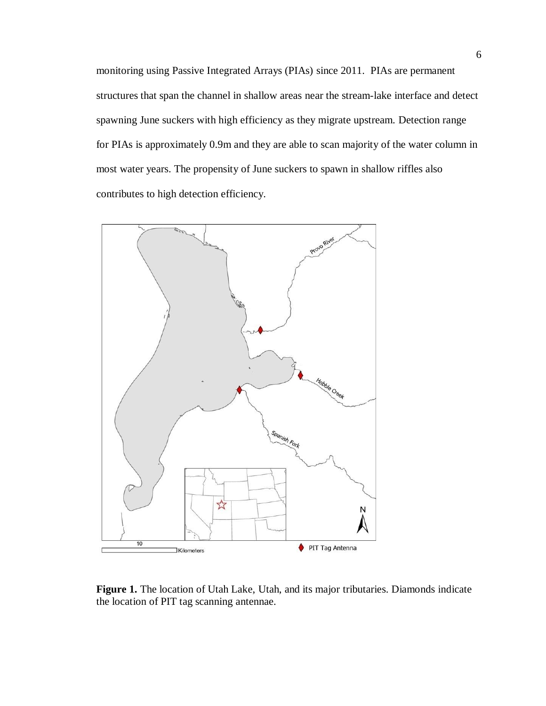monitoring using Passive Integrated Arrays (PIAs) since 2011. PIAs are permanent structures that span the channel in shallow areas near the stream-lake interface and detect spawning June suckers with high efficiency as they migrate upstream. Detection range for PIAs is approximately 0.9m and they are able to scan majority of the water column in most water years. The propensity of June suckers to spawn in shallow riffles also contributes to high detection efficiency.



**Figure 1.** The location of Utah Lake, Utah, and its major tributaries. Diamonds indicate the location of PIT tag scanning antennae.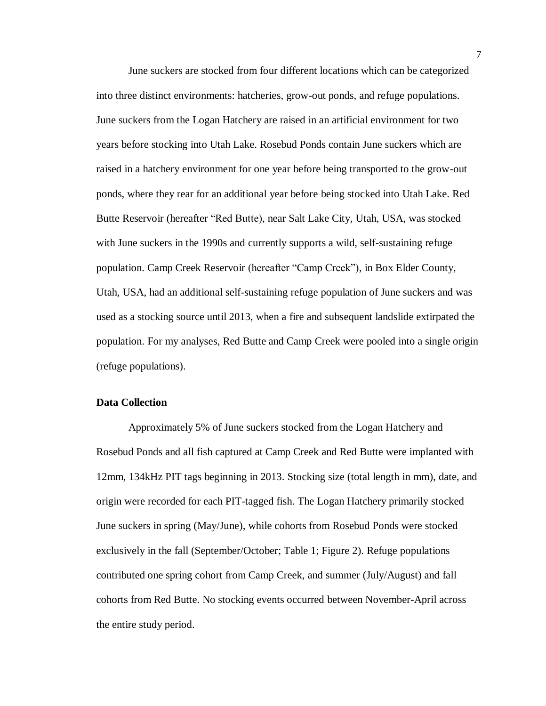June suckers are stocked from four different locations which can be categorized into three distinct environments: hatcheries, grow-out ponds, and refuge populations. June suckers from the Logan Hatchery are raised in an artificial environment for two years before stocking into Utah Lake. Rosebud Ponds contain June suckers which are raised in a hatchery environment for one year before being transported to the grow-out ponds, where they rear for an additional year before being stocked into Utah Lake. Red Butte Reservoir (hereafter "Red Butte), near Salt Lake City, Utah, USA, was stocked with June suckers in the 1990s and currently supports a wild, self-sustaining refuge population. Camp Creek Reservoir (hereafter "Camp Creek"), in Box Elder County, Utah, USA, had an additional self-sustaining refuge population of June suckers and was used as a stocking source until 2013, when a fire and subsequent landslide extirpated the population. For my analyses, Red Butte and Camp Creek were pooled into a single origin (refuge populations).

#### **Data Collection**

Approximately 5% of June suckers stocked from the Logan Hatchery and Rosebud Ponds and all fish captured at Camp Creek and Red Butte were implanted with 12mm, 134kHz PIT tags beginning in 2013. Stocking size (total length in mm), date, and origin were recorded for each PIT-tagged fish. The Logan Hatchery primarily stocked June suckers in spring (May/June), while cohorts from Rosebud Ponds were stocked exclusively in the fall (September/October; Table 1; Figure 2). Refuge populations contributed one spring cohort from Camp Creek, and summer (July/August) and fall cohorts from Red Butte. No stocking events occurred between November-April across the entire study period.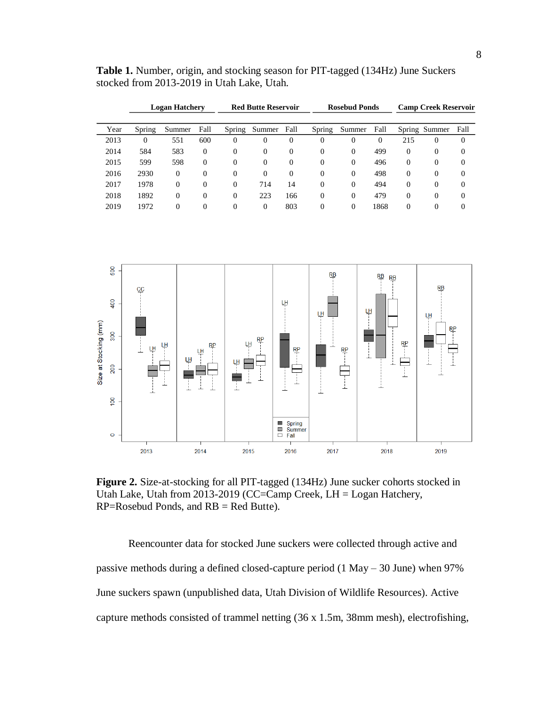**Table 1.** Number, origin, and stocking season for PIT-tagged (134Hz) June Suckers stocked from 2013-2019 in Utah Lake, Utah.

|      | <b>Logan Hatchery</b> |          | <b>Red Butte Reservoir</b> |          | <b>Rosebud Ponds</b> |                |          | <b>Camp Creek Reservoir</b> |          |          |               |          |
|------|-----------------------|----------|----------------------------|----------|----------------------|----------------|----------|-----------------------------|----------|----------|---------------|----------|
|      |                       |          |                            |          |                      |                |          |                             |          |          |               |          |
| Year | Spring                | Summer   | Fall                       | Spring   | Summer               | Fall           | Spring   | Summer                      | Fall     |          | Spring Summer | Fall     |
| 2013 | 0                     | 551      | 600                        | $\Omega$ | $\Omega$             | $\theta$       | $\theta$ | 0                           | $\Omega$ | 215      | $\Omega$      | $\theta$ |
| 2014 | 584                   | 583      | $\Omega$                   | $\Omega$ | $\Omega$             | $\overline{0}$ | $\theta$ | $\Omega$                    | 499      | $\Omega$ | $\Omega$      | $\theta$ |
| 2015 | 599                   | 598      | $\Omega$                   | $\Omega$ | $\Omega$             | $\overline{0}$ | $\Omega$ | $\Omega$                    | 496      | $\Omega$ | $\Omega$      | $\theta$ |
| 2016 | 2930                  | $\Omega$ | $\Omega$                   | $\Omega$ | $\Omega$             | 0              | $\theta$ | $\Omega$                    | 498      | $\Omega$ | $\Omega$      | $\theta$ |
| 2017 | 1978                  | $\theta$ | 0                          | $\Omega$ | 714                  | 14             | $\Omega$ | $\Omega$                    | 494      | $\Omega$ | $\Omega$      | $\Omega$ |
| 2018 | 1892                  | $\theta$ | 0                          | $\Omega$ | 223                  | 166            | $\Omega$ | 0                           | 479      | $\Omega$ | $\Omega$      | $\Omega$ |
| 2019 | 1972                  | $\Omega$ | 0                          | $\Omega$ | $\Omega$             | 803            | $\Omega$ | 0                           | 1868     | $\Omega$ | $\Omega$      |          |



**Figure 2.** Size-at-stocking for all PIT-tagged (134Hz) June sucker cohorts stocked in Utah Lake, Utah from 2013-2019 (CC=Camp Creek, LH = Logan Hatchery, RP=Rosebud Ponds, and RB = Red Butte).

Reencounter data for stocked June suckers were collected through active and passive methods during a defined closed-capture period (1 May – 30 June) when 97% June suckers spawn (unpublished data, Utah Division of Wildlife Resources). Active capture methods consisted of trammel netting (36 x 1.5m, 38mm mesh), electrofishing,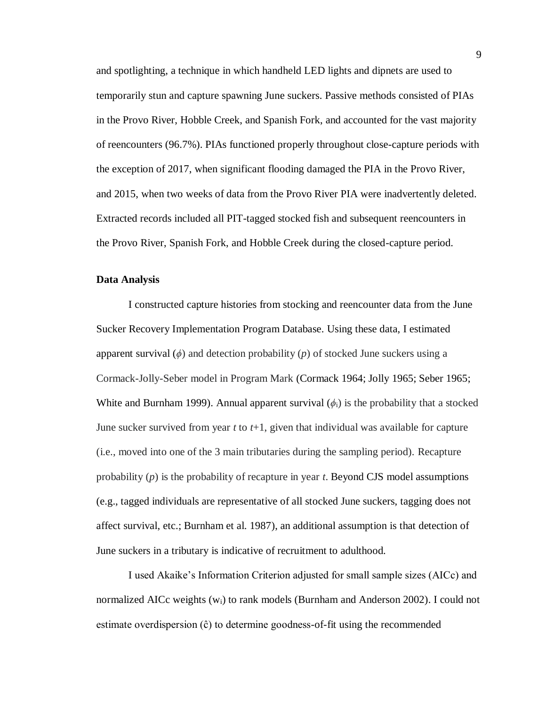and spotlighting, a technique in which handheld LED lights and dipnets are used to temporarily stun and capture spawning June suckers. Passive methods consisted of PIAs in the Provo River, Hobble Creek, and Spanish Fork, and accounted for the vast majority of reencounters (96.7%). PIAs functioned properly throughout close-capture periods with the exception of 2017, when significant flooding damaged the PIA in the Provo River, and 2015, when two weeks of data from the Provo River PIA were inadvertently deleted. Extracted records included all PIT-tagged stocked fish and subsequent reencounters in the Provo River, Spanish Fork, and Hobble Creek during the closed-capture period.

#### **Data Analysis**

I constructed capture histories from stocking and reencounter data from the June Sucker Recovery Implementation Program Database. Using these data, I estimated apparent survival  $(\phi)$  and detection probability  $(p)$  of stocked June suckers using a Cormack-Jolly-Seber model in Program Mark (Cormack 1964; Jolly 1965; Seber 1965; White and Burnham 1999). Annual apparent survival  $(\phi_i)$  is the probability that a stocked June sucker survived from year *t* to *t*+1, given that individual was available for capture (i.e., moved into one of the 3 main tributaries during the sampling period). Recapture probability (*p*) is the probability of recapture in year *t*. Beyond CJS model assumptions (e.g., tagged individuals are representative of all stocked June suckers, tagging does not affect survival, etc.; Burnham et al. 1987), an additional assumption is that detection of June suckers in a tributary is indicative of recruitment to adulthood.

I used Akaike's Information Criterion adjusted for small sample sizes (AICc) and normalized AICc weights (wi) to rank models (Burnham and Anderson 2002). I could not estimate overdispersion (ĉ) to determine goodness-of-fit using the recommended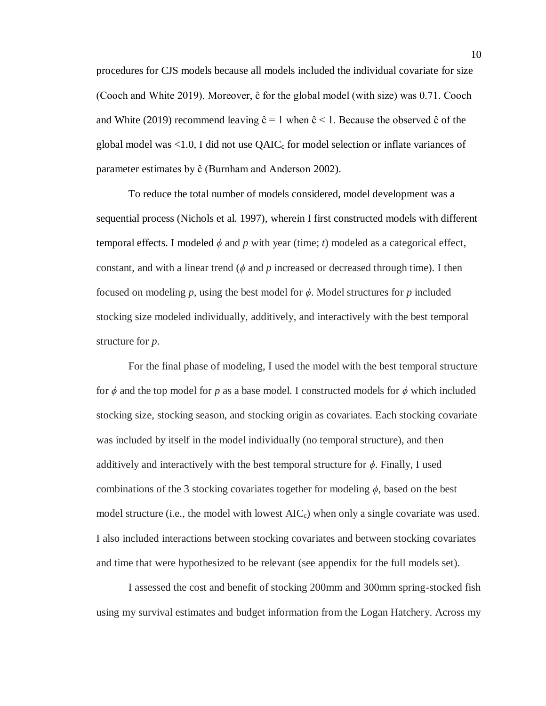procedures for CJS models because all models included the individual covariate for size (Cooch and White 2019). Moreover, ĉ for the global model (with size) was 0.71. Cooch and White (2019) recommend leaving  $\hat{c} = 1$  when  $\hat{c} < 1$ . Because the observed  $\hat{c}$  of the global model was  $\leq 1.0$ , I did not use QAIC<sub>c</sub> for model selection or inflate variances of parameter estimates by ĉ (Burnham and Anderson 2002).

To reduce the total number of models considered, model development was a sequential process (Nichols et al. 1997), wherein I first constructed models with different temporal effects. I modeled  $\phi$  and  $p$  with year (time;  $t$ ) modeled as a categorical effect, constant, and with a linear trend ( $\phi$  and  $p$  increased or decreased through time). I then focused on modeling  $p$ , using the best model for  $\phi$ . Model structures for  $p$  included stocking size modeled individually, additively, and interactively with the best temporal structure for *p*.

For the final phase of modeling, I used the model with the best temporal structure for *ϕ* and the top model for *p* as a base model. I constructed models for *ϕ* which included stocking size, stocking season, and stocking origin as covariates. Each stocking covariate was included by itself in the model individually (no temporal structure), and then additively and interactively with the best temporal structure for *ϕ*. Finally, I used combinations of the 3 stocking covariates together for modeling *ϕ*, based on the best model structure (i.e., the model with lowest  $AIC<sub>c</sub>$ ) when only a single covariate was used. I also included interactions between stocking covariates and between stocking covariates and time that were hypothesized to be relevant (see appendix for the full models set).

I assessed the cost and benefit of stocking 200mm and 300mm spring-stocked fish using my survival estimates and budget information from the Logan Hatchery. Across my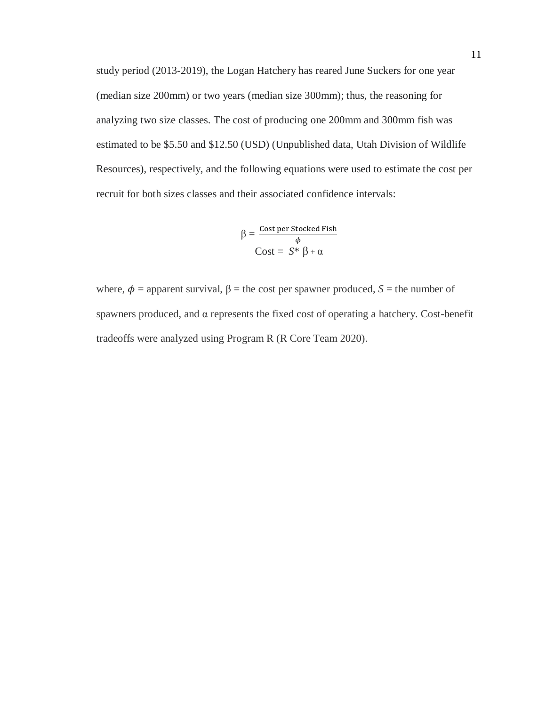study period (2013-2019), the Logan Hatchery has reared June Suckers for one year (median size 200mm) or two years (median size 300mm); thus, the reasoning for analyzing two size classes. The cost of producing one 200mm and 300mm fish was estimated to be \$5.50 and \$12.50 (USD) (Unpublished data, Utah Division of Wildlife Resources), respectively, and the following equations were used to estimate the cost per recruit for both sizes classes and their associated confidence intervals:

$$
\beta = \frac{\text{Cost per Stocked Fish}}{\phi}
$$

$$
\text{Cost} = S^* \beta + \alpha
$$

where,  $\phi$  = apparent survival,  $\beta$  = the cost per spawner produced, *S* = the number of spawners produced, and α represents the fixed cost of operating a hatchery. Cost-benefit tradeoffs were analyzed using Program R (R Core Team 2020).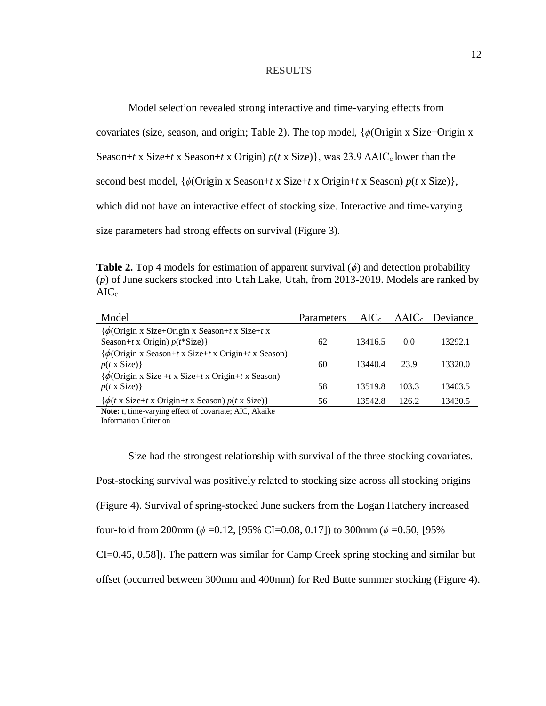#### RESULTS

Model selection revealed strong interactive and time-varying effects from

covariates (size, season, and origin; Table 2). The top model, {*ϕ*(Origin x Size+Origin x

Season+*t* x Size+*t* x Season+*t* x Origin) *p*(*t* x Size)}, was 23.9 ΔAIC<sub>c</sub> lower than the

second best model, {*ϕ*(Origin x Season+*t* x Size+*t* x Origin+*t* x Season) *p*(*t* x Size)},

which did not have an interactive effect of stocking size. Interactive and time-varying

size parameters had strong effects on survival (Figure 3).

**Table 2.** Top 4 models for estimation of apparent survival (*ϕ*) and detection probability (*p*) of June suckers stocked into Utah Lake, Utah, from 2013-2019. Models are ranked by  $AIC<sub>c</sub>$ 

| Model                                                                                | <b>Parameters</b> | $AIC_c$ |       | $\triangle AIC_c$ Deviance |
|--------------------------------------------------------------------------------------|-------------------|---------|-------|----------------------------|
| $\{\phi$ (Origin x Size+Origin x Season+t x Size+t x                                 |                   |         |       |                            |
| Season+t x Origin) $p(t^*Size)$ }                                                    | 62                | 13416.5 | 0.0   | 13292.1                    |
| $\{\phi$ (Origin x Season+t x Size+t x Origin+t x Season)                            |                   |         |       |                            |
| $p(t \times Size)$                                                                   | 60                | 13440.4 | 23.9  | 13320.0                    |
| $\{\phi$ (Origin x Size +t x Size+t x Origin+t x Season)                             |                   |         |       |                            |
| $p(t \times Size)$                                                                   | 58                | 13519.8 | 103.3 | 13403.5                    |
| $\{\phi(t \times \text{Size} + t \times \text{Original} + t \times \text{Season})\}$ | 56                | 13542.8 | 126.2 | 13430.5                    |

**Note:** *t,* time-varying effect of covariate; AIC, Akaike Information Criterion

Size had the strongest relationship with survival of the three stocking covariates. Post-stocking survival was positively related to stocking size across all stocking origins (Figure 4). Survival of spring-stocked June suckers from the Logan Hatchery increased four-fold from 200mm ( $\phi$  =0.12, [95% CI=0.08, 0.17]) to 300mm ( $\phi$  =0.50, [95% CI=0.45, 0.58]). The pattern was similar for Camp Creek spring stocking and similar but offset (occurred between 300mm and 400mm) for Red Butte summer stocking (Figure 4).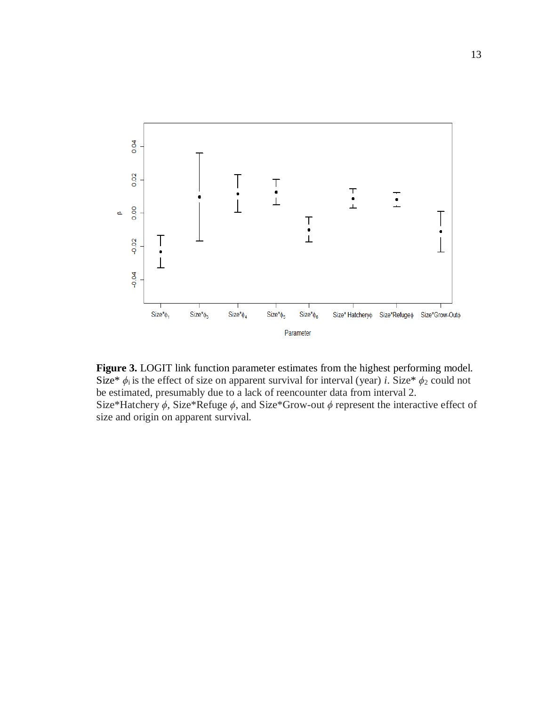

**Figure 3.** LOGIT link function parameter estimates from the highest performing model. Size\*  $\phi_i$  is the effect of size on apparent survival for interval (year) *i*. Size\*  $\phi_2$  could not be estimated, presumably due to a lack of reencounter data from interval 2. Size\*Hatchery *ϕ*, Size\*Refuge *ϕ*, and Size\*Grow-out *ϕ* represent the interactive effect of size and origin on apparent survival.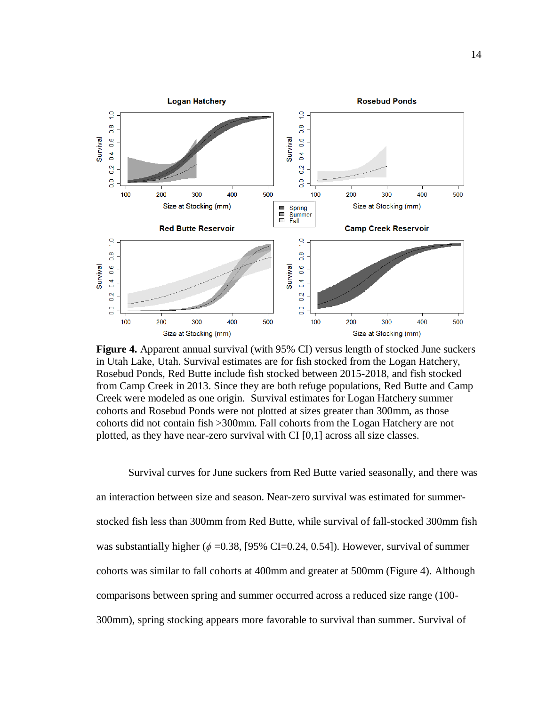

**Figure 4.** Apparent annual survival (with 95% CI) versus length of stocked June suckers in Utah Lake, Utah. Survival estimates are for fish stocked from the Logan Hatchery, Rosebud Ponds, Red Butte include fish stocked between 2015-2018, and fish stocked from Camp Creek in 2013. Since they are both refuge populations, Red Butte and Camp Creek were modeled as one origin. Survival estimates for Logan Hatchery summer cohorts and Rosebud Ponds were not plotted at sizes greater than 300mm, as those cohorts did not contain fish >300mm. Fall cohorts from the Logan Hatchery are not plotted, as they have near-zero survival with CI [0,1] across all size classes.

Survival curves for June suckers from Red Butte varied seasonally, and there was an interaction between size and season. Near-zero survival was estimated for summerstocked fish less than 300mm from Red Butte, while survival of fall-stocked 300mm fish was substantially higher ( $\phi$  =0.38, [95% CI=0.24, 0.54]). However, survival of summer cohorts was similar to fall cohorts at 400mm and greater at 500mm (Figure 4). Although comparisons between spring and summer occurred across a reduced size range (100- 300mm), spring stocking appears more favorable to survival than summer. Survival of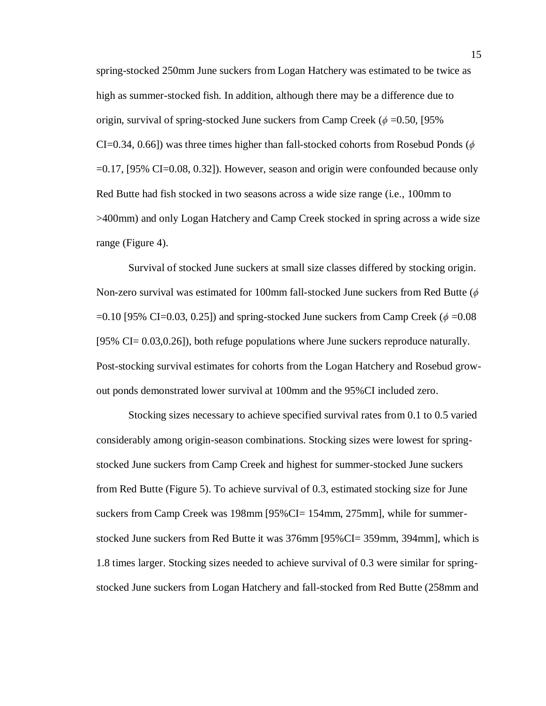spring-stocked 250mm June suckers from Logan Hatchery was estimated to be twice as high as summer-stocked fish. In addition, although there may be a difference due to origin, survival of spring-stocked June suckers from Camp Creek ( $\phi$  =0.50, [95% CI=0.34, 0.66]) was three times higher than fall-stocked cohorts from Rosebud Ponds (*ϕ* =0.17, [95% CI=0.08, 0.32]). However, season and origin were confounded because only Red Butte had fish stocked in two seasons across a wide size range (i.e., 100mm to >400mm) and only Logan Hatchery and Camp Creek stocked in spring across a wide size range (Figure 4).

Survival of stocked June suckers at small size classes differed by stocking origin. Non-zero survival was estimated for 100mm fall-stocked June suckers from Red Butte (*ϕ* =0.10 [95% CI=0.03, 0.25]) and spring-stocked June suckers from Camp Creek (*ϕ* =0.08 [95% CI= 0.03,0.26]), both refuge populations where June suckers reproduce naturally. Post-stocking survival estimates for cohorts from the Logan Hatchery and Rosebud growout ponds demonstrated lower survival at 100mm and the 95%CI included zero.

Stocking sizes necessary to achieve specified survival rates from 0.1 to 0.5 varied considerably among origin-season combinations. Stocking sizes were lowest for springstocked June suckers from Camp Creek and highest for summer-stocked June suckers from Red Butte (Figure 5). To achieve survival of 0.3, estimated stocking size for June suckers from Camp Creek was 198mm [95%CI= 154mm, 275mm], while for summerstocked June suckers from Red Butte it was 376mm [95%CI= 359mm, 394mm], which is 1.8 times larger. Stocking sizes needed to achieve survival of 0.3 were similar for springstocked June suckers from Logan Hatchery and fall-stocked from Red Butte (258mm and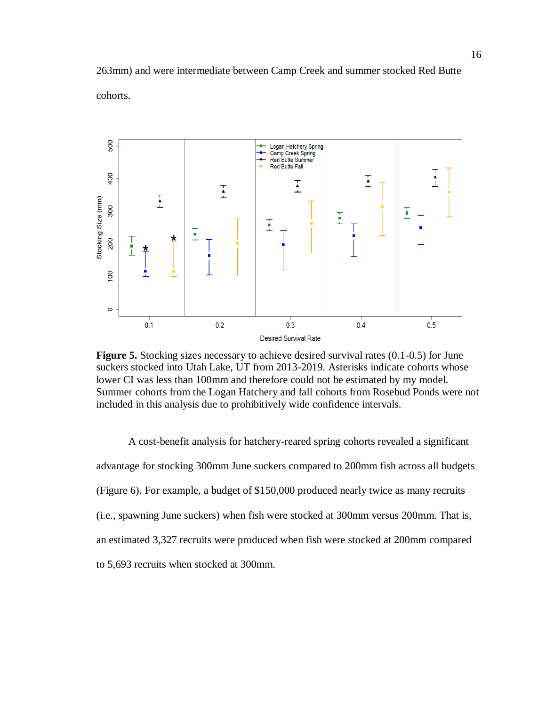263mm) and were intermediate between Camp Creek and summer stocked Red Butte cohorts.



**Figure 5.** Stocking sizes necessary to achieve desired survival rates (0.1-0.5) for June suckers stocked into Utah Lake, UT from 2013-2019. Asterisks indicate cohorts whose lower CI was less than 100mm and therefore could not be estimated by my model. Summer cohorts from the Logan Hatchery and fall cohorts from Rosebud Ponds were not included in this analysis due to prohibitively wide confidence intervals.

A cost-benefit analysis for hatchery-reared spring cohorts revealed a significant advantage for stocking 300mm June suckers compared to 200mm fish across all budgets (Figure 6). For example, a budget of \$150,000 produced nearly twice as many recruits (i.e., spawning June suckers) when fish were stocked at 300mm versus 200mm. That is, an estimated 3,327 recruits were produced when fish were stocked at 200mm compared to 5,693 recruits when stocked at 300mm.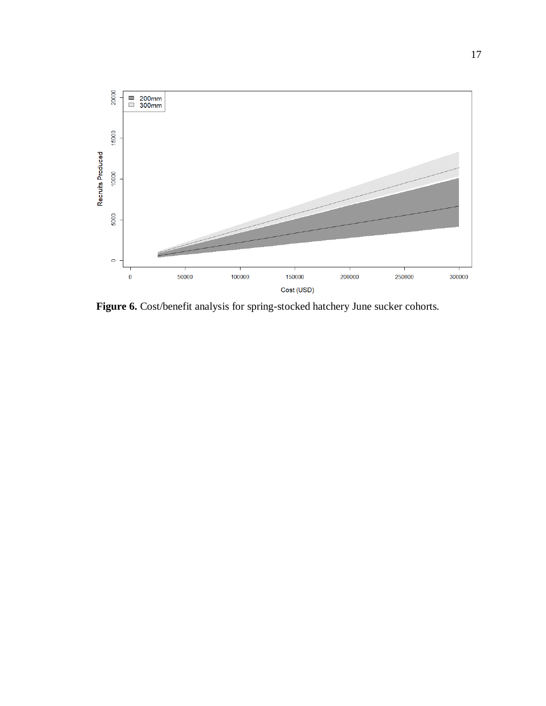

**Figure 6.** Cost/benefit analysis for spring-stocked hatchery June sucker cohorts.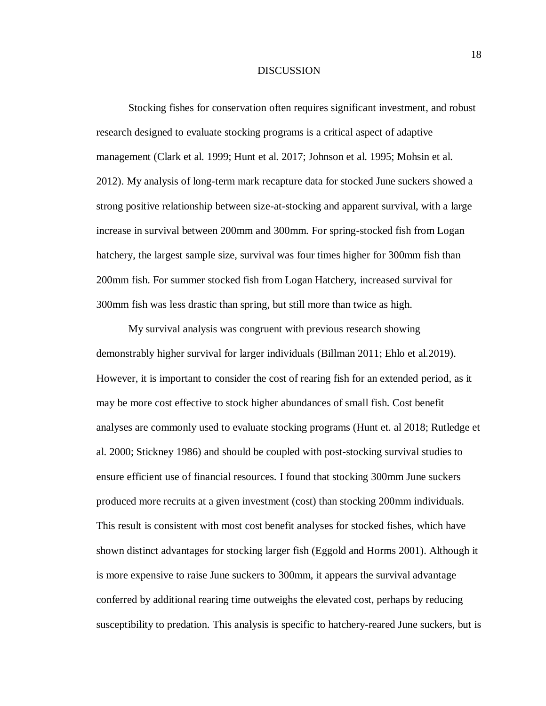#### **DISCUSSION**

Stocking fishes for conservation often requires significant investment, and robust research designed to evaluate stocking programs is a critical aspect of adaptive management (Clark et al. 1999; Hunt et al. 2017; Johnson et al. 1995; Mohsin et al. 2012). My analysis of long-term mark recapture data for stocked June suckers showed a strong positive relationship between size-at-stocking and apparent survival, with a large increase in survival between 200mm and 300mm. For spring-stocked fish from Logan hatchery, the largest sample size, survival was four times higher for 300mm fish than 200mm fish. For summer stocked fish from Logan Hatchery, increased survival for 300mm fish was less drastic than spring, but still more than twice as high.

My survival analysis was congruent with previous research showing demonstrably higher survival for larger individuals (Billman 2011; Ehlo et al.2019). However, it is important to consider the cost of rearing fish for an extended period, as it may be more cost effective to stock higher abundances of small fish. Cost benefit analyses are commonly used to evaluate stocking programs (Hunt et. al 2018; Rutledge et al. 2000; Stickney 1986) and should be coupled with post-stocking survival studies to ensure efficient use of financial resources. I found that stocking 300mm June suckers produced more recruits at a given investment (cost) than stocking 200mm individuals. This result is consistent with most cost benefit analyses for stocked fishes, which have shown distinct advantages for stocking larger fish (Eggold and Horms 2001). Although it is more expensive to raise June suckers to 300mm, it appears the survival advantage conferred by additional rearing time outweighs the elevated cost, perhaps by reducing susceptibility to predation. This analysis is specific to hatchery-reared June suckers, but is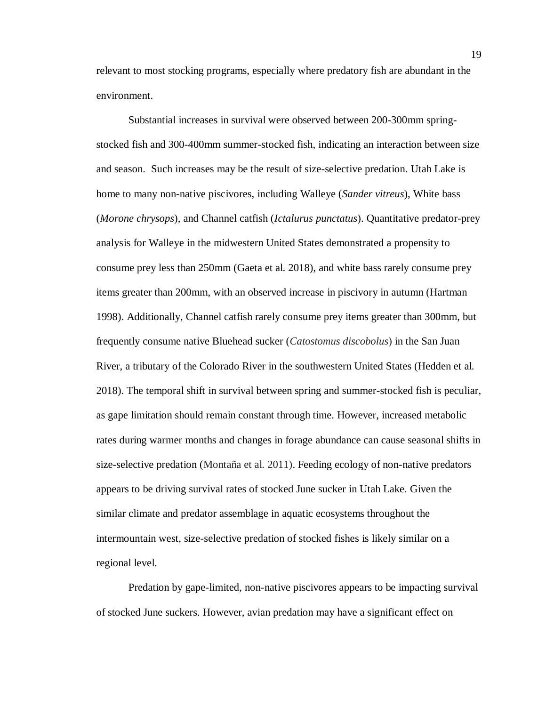relevant to most stocking programs, especially where predatory fish are abundant in the environment.

Substantial increases in survival were observed between 200-300mm springstocked fish and 300-400mm summer-stocked fish, indicating an interaction between size and season. Such increases may be the result of size-selective predation. Utah Lake is home to many non-native piscivores, including Walleye (*Sander vitreus*), White bass (*Morone chrysops*), and Channel catfish (*Ictalurus punctatus*). Quantitative predator-prey analysis for Walleye in the midwestern United States demonstrated a propensity to consume prey less than 250mm (Gaeta et al. 2018), and white bass rarely consume prey items greater than 200mm, with an observed increase in piscivory in autumn (Hartman 1998). Additionally, Channel catfish rarely consume prey items greater than 300mm, but frequently consume native Bluehead sucker (*Catostomus discobolus*) in the San Juan River, a tributary of the Colorado River in the southwestern United States (Hedden et al. 2018). The temporal shift in survival between spring and summer-stocked fish is peculiar, as gape limitation should remain constant through time. However, increased metabolic rates during warmer months and changes in forage abundance can cause seasonal shifts in size-selective predation (Montaña et al. 2011). Feeding ecology of non-native predators appears to be driving survival rates of stocked June sucker in Utah Lake. Given the similar climate and predator assemblage in aquatic ecosystems throughout the intermountain west, size-selective predation of stocked fishes is likely similar on a regional level.

Predation by gape-limited, non-native piscivores appears to be impacting survival of stocked June suckers. However, avian predation may have a significant effect on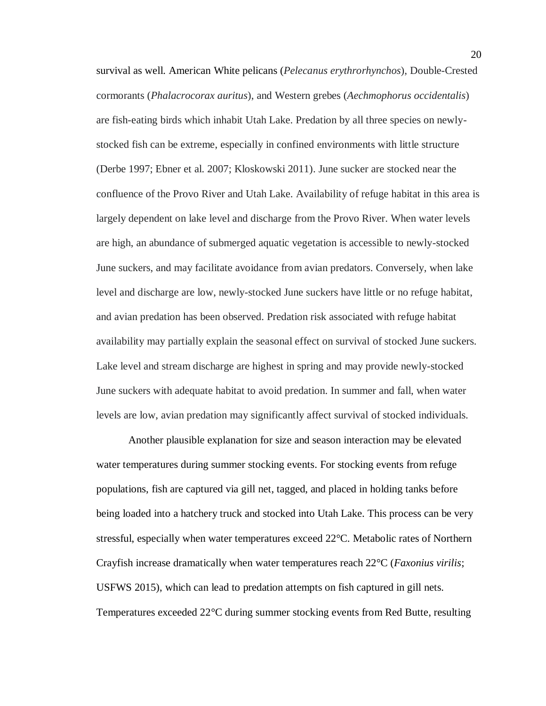survival as well. American White pelicans (*Pelecanus erythrorhynchos*), Double-Crested cormorants (*Phalacrocorax auritus*), and Western grebes (*Aechmophorus occidentalis*) are fish-eating birds which inhabit Utah Lake. Predation by all three species on newlystocked fish can be extreme, especially in confined environments with little structure (Derbe 1997; Ebner et al. 2007; Kloskowski 2011). June sucker are stocked near the confluence of the Provo River and Utah Lake. Availability of refuge habitat in this area is largely dependent on lake level and discharge from the Provo River. When water levels are high, an abundance of submerged aquatic vegetation is accessible to newly-stocked June suckers, and may facilitate avoidance from avian predators. Conversely, when lake level and discharge are low, newly-stocked June suckers have little or no refuge habitat, and avian predation has been observed. Predation risk associated with refuge habitat availability may partially explain the seasonal effect on survival of stocked June suckers. Lake level and stream discharge are highest in spring and may provide newly-stocked June suckers with adequate habitat to avoid predation. In summer and fall, when water levels are low, avian predation may significantly affect survival of stocked individuals.

Another plausible explanation for size and season interaction may be elevated water temperatures during summer stocking events. For stocking events from refuge populations, fish are captured via gill net, tagged, and placed in holding tanks before being loaded into a hatchery truck and stocked into Utah Lake. This process can be very stressful, especially when water temperatures exceed 22°C. Metabolic rates of Northern Crayfish increase dramatically when water temperatures reach 22°C (*Faxonius virilis*; USFWS 2015), which can lead to predation attempts on fish captured in gill nets. Temperatures exceeded 22°C during summer stocking events from Red Butte, resulting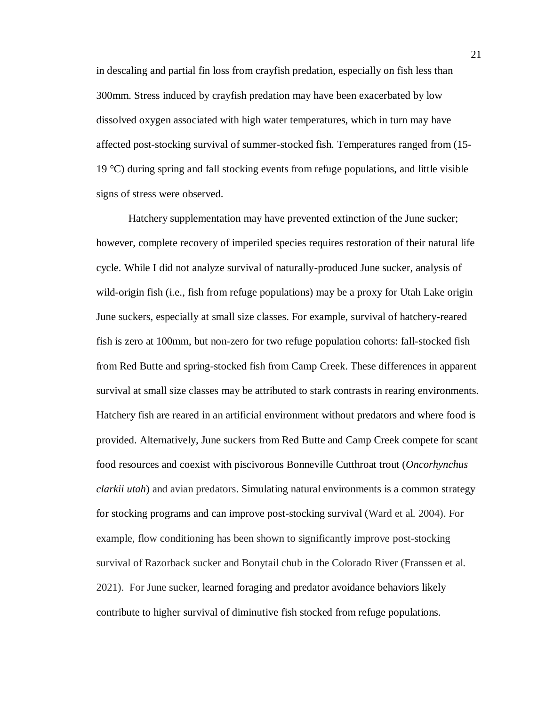in descaling and partial fin loss from crayfish predation, especially on fish less than 300mm. Stress induced by crayfish predation may have been exacerbated by low dissolved oxygen associated with high water temperatures, which in turn may have affected post-stocking survival of summer-stocked fish. Temperatures ranged from (15- 19 °C) during spring and fall stocking events from refuge populations, and little visible signs of stress were observed.

Hatchery supplementation may have prevented extinction of the June sucker; however, complete recovery of imperiled species requires restoration of their natural life cycle. While I did not analyze survival of naturally-produced June sucker, analysis of wild-origin fish (i.e., fish from refuge populations) may be a proxy for Utah Lake origin June suckers, especially at small size classes. For example, survival of hatchery-reared fish is zero at 100mm, but non-zero for two refuge population cohorts: fall-stocked fish from Red Butte and spring-stocked fish from Camp Creek. These differences in apparent survival at small size classes may be attributed to stark contrasts in rearing environments. Hatchery fish are reared in an artificial environment without predators and where food is provided. Alternatively, June suckers from Red Butte and Camp Creek compete for scant food resources and coexist with piscivorous Bonneville Cutthroat trout (*Oncorhynchus clarkii utah*) and avian predators. Simulating natural environments is a common strategy for stocking programs and can improve post-stocking survival (Ward et al. 2004). For example, flow conditioning has been shown to significantly improve post-stocking survival of Razorback sucker and Bonytail chub in the Colorado River (Franssen et al. 2021). For June sucker, learned foraging and predator avoidance behaviors likely contribute to higher survival of diminutive fish stocked from refuge populations.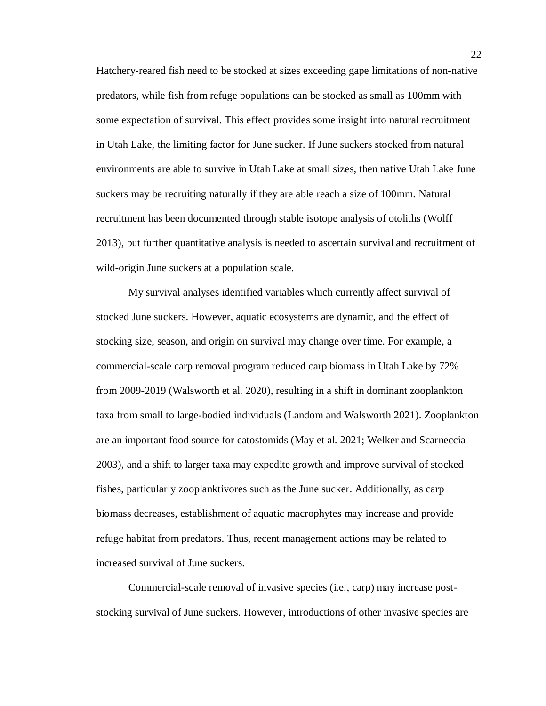Hatchery-reared fish need to be stocked at sizes exceeding gape limitations of non-native predators, while fish from refuge populations can be stocked as small as 100mm with some expectation of survival. This effect provides some insight into natural recruitment in Utah Lake, the limiting factor for June sucker. If June suckers stocked from natural environments are able to survive in Utah Lake at small sizes, then native Utah Lake June suckers may be recruiting naturally if they are able reach a size of 100mm. Natural recruitment has been documented through stable isotope analysis of otoliths (Wolff 2013), but further quantitative analysis is needed to ascertain survival and recruitment of wild-origin June suckers at a population scale.

My survival analyses identified variables which currently affect survival of stocked June suckers. However, aquatic ecosystems are dynamic, and the effect of stocking size, season, and origin on survival may change over time. For example, a commercial-scale carp removal program reduced carp biomass in Utah Lake by 72% from 2009-2019 (Walsworth et al. 2020), resulting in a shift in dominant zooplankton taxa from small to large-bodied individuals (Landom and Walsworth 2021). Zooplankton are an important food source for catostomids (May et al. 2021; Welker and Scarneccia 2003), and a shift to larger taxa may expedite growth and improve survival of stocked fishes, particularly zooplanktivores such as the June sucker. Additionally, as carp biomass decreases, establishment of aquatic macrophytes may increase and provide refuge habitat from predators. Thus, recent management actions may be related to increased survival of June suckers.

Commercial-scale removal of invasive species (i.e., carp) may increase poststocking survival of June suckers. However, introductions of other invasive species are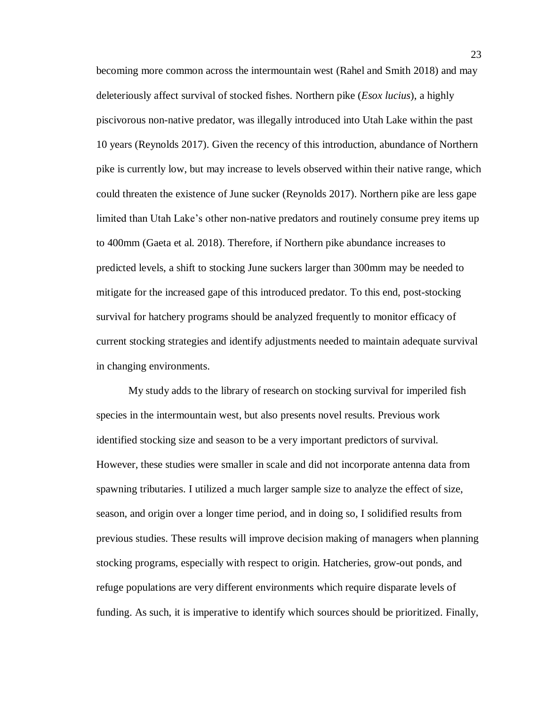becoming more common across the intermountain west (Rahel and Smith 2018) and may deleteriously affect survival of stocked fishes. Northern pike (*Esox lucius*), a highly piscivorous non-native predator, was illegally introduced into Utah Lake within the past 10 years (Reynolds 2017). Given the recency of this introduction, abundance of Northern pike is currently low, but may increase to levels observed within their native range, which could threaten the existence of June sucker (Reynolds 2017). Northern pike are less gape limited than Utah Lake's other non-native predators and routinely consume prey items up to 400mm (Gaeta et al. 2018). Therefore, if Northern pike abundance increases to predicted levels, a shift to stocking June suckers larger than 300mm may be needed to mitigate for the increased gape of this introduced predator. To this end, post-stocking survival for hatchery programs should be analyzed frequently to monitor efficacy of current stocking strategies and identify adjustments needed to maintain adequate survival in changing environments.

My study adds to the library of research on stocking survival for imperiled fish species in the intermountain west, but also presents novel results. Previous work identified stocking size and season to be a very important predictors of survival. However, these studies were smaller in scale and did not incorporate antenna data from spawning tributaries. I utilized a much larger sample size to analyze the effect of size, season, and origin over a longer time period, and in doing so, I solidified results from previous studies. These results will improve decision making of managers when planning stocking programs, especially with respect to origin. Hatcheries, grow-out ponds, and refuge populations are very different environments which require disparate levels of funding. As such, it is imperative to identify which sources should be prioritized. Finally,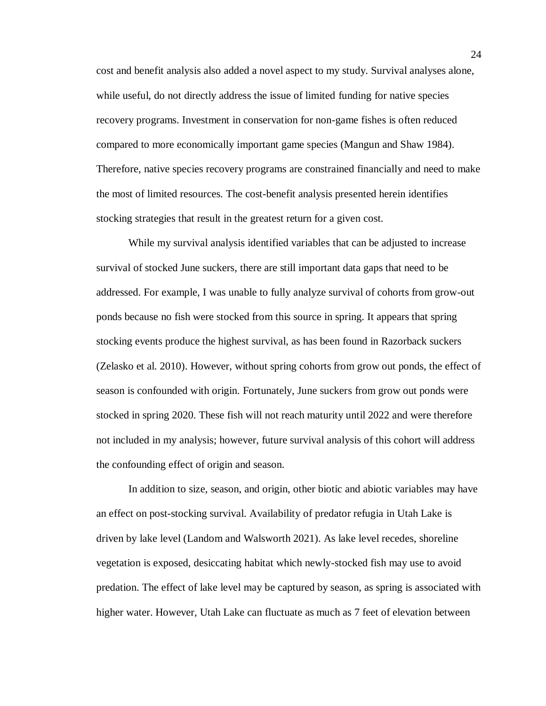cost and benefit analysis also added a novel aspect to my study. Survival analyses alone, while useful, do not directly address the issue of limited funding for native species recovery programs. Investment in conservation for non-game fishes is often reduced compared to more economically important game species (Mangun and Shaw 1984). Therefore, native species recovery programs are constrained financially and need to make the most of limited resources. The cost-benefit analysis presented herein identifies stocking strategies that result in the greatest return for a given cost.

While my survival analysis identified variables that can be adjusted to increase survival of stocked June suckers, there are still important data gaps that need to be addressed. For example, I was unable to fully analyze survival of cohorts from grow-out ponds because no fish were stocked from this source in spring. It appears that spring stocking events produce the highest survival, as has been found in Razorback suckers (Zelasko et al. 2010). However, without spring cohorts from grow out ponds, the effect of season is confounded with origin. Fortunately, June suckers from grow out ponds were stocked in spring 2020. These fish will not reach maturity until 2022 and were therefore not included in my analysis; however, future survival analysis of this cohort will address the confounding effect of origin and season.

In addition to size, season, and origin, other biotic and abiotic variables may have an effect on post-stocking survival. Availability of predator refugia in Utah Lake is driven by lake level (Landom and Walsworth 2021). As lake level recedes, shoreline vegetation is exposed, desiccating habitat which newly-stocked fish may use to avoid predation. The effect of lake level may be captured by season, as spring is associated with higher water. However, Utah Lake can fluctuate as much as 7 feet of elevation between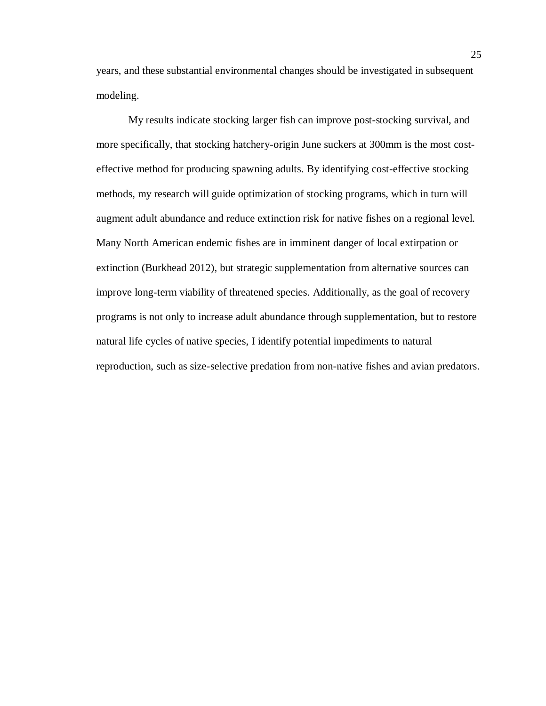years, and these substantial environmental changes should be investigated in subsequent modeling.

My results indicate stocking larger fish can improve post-stocking survival, and more specifically, that stocking hatchery-origin June suckers at 300mm is the most costeffective method for producing spawning adults. By identifying cost-effective stocking methods, my research will guide optimization of stocking programs, which in turn will augment adult abundance and reduce extinction risk for native fishes on a regional level. Many North American endemic fishes are in imminent danger of local extirpation or extinction (Burkhead 2012), but strategic supplementation from alternative sources can improve long-term viability of threatened species. Additionally, as the goal of recovery programs is not only to increase adult abundance through supplementation, but to restore natural life cycles of native species, I identify potential impediments to natural reproduction, such as size-selective predation from non-native fishes and avian predators.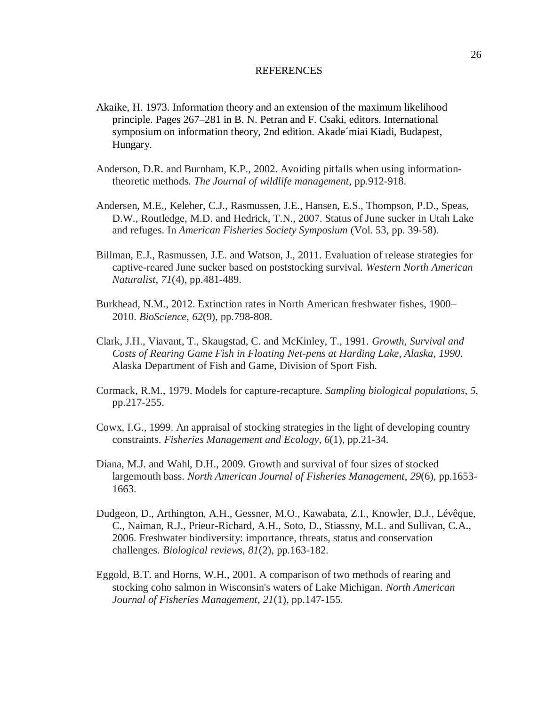#### **REFERENCES**

- Akaike, H. 1973. Information theory and an extension of the maximum likelihood principle. Pages 267–281 in B. N. Petran and F. Csaki, editors. International symposium on information theory, 2nd edition. Akade´miai Kiadi, Budapest, Hungary.
- Anderson, D.R. and Burnham, K.P., 2002. Avoiding pitfalls when using informationtheoretic methods. *The Journal of wildlife management*, pp.912-918.
- Andersen, M.E., Keleher, C.J., Rasmussen, J.E., Hansen, E.S., Thompson, P.D., Speas, D.W., Routledge, M.D. and Hedrick, T.N., 2007. Status of June sucker in Utah Lake and refuges. In *American Fisheries Society Symposium* (Vol. 53, pp. 39-58).
- Billman, E.J., Rasmussen, J.E. and Watson, J., 2011. Evaluation of release strategies for captive-reared June sucker based on poststocking survival. *Western North American Naturalist*, *71*(4), pp.481-489.
- Burkhead, N.M., 2012. Extinction rates in North American freshwater fishes, 1900– 2010. *BioScience*, *62*(9), pp.798-808.
- Clark, J.H., Viavant, T., Skaugstad, C. and McKinley, T., 1991. *Growth, Survival and Costs of Rearing Game Fish in Floating Net-pens at Harding Lake, Alaska, 1990*. Alaska Department of Fish and Game, Division of Sport Fish.
- Cormack, R.M., 1979. Models for capture-recapture. *Sampling biological populations*, *5*, pp.217-255.
- Cowx, I.G., 1999. An appraisal of stocking strategies in the light of developing country constraints. *Fisheries Management and Ecology*, *6*(1), pp.21-34.
- Diana, M.J. and Wahl, D.H., 2009. Growth and survival of four sizes of stocked largemouth bass. *North American Journal of Fisheries Management*, *29*(6), pp.1653- 1663.
- Dudgeon, D., Arthington, A.H., Gessner, M.O., Kawabata, Z.I., Knowler, D.J., Lévêque, C., Naiman, R.J., Prieur-Richard, A.H., Soto, D., Stiassny, M.L. and Sullivan, C.A., 2006. Freshwater biodiversity: importance, threats, status and conservation challenges. *Biological reviews*, *81*(2), pp.163-182.
- Eggold, B.T. and Horns, W.H., 2001. A comparison of two methods of rearing and stocking coho salmon in Wisconsin's waters of Lake Michigan. *North American Journal of Fisheries Management*, *21*(1), pp.147-155.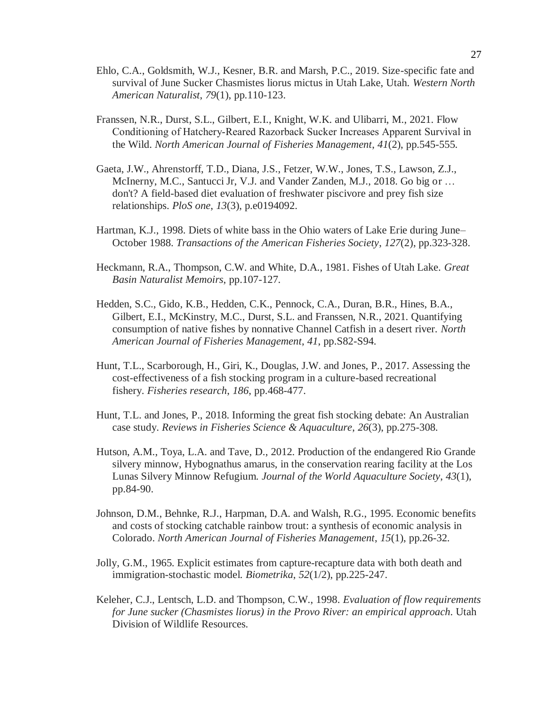- Ehlo, C.A., Goldsmith, W.J., Kesner, B.R. and Marsh, P.C., 2019. Size-specific fate and survival of June Sucker Chasmistes liorus mictus in Utah Lake, Utah. *Western North American Naturalist*, *79*(1), pp.110-123.
- Franssen, N.R., Durst, S.L., Gilbert, E.I., Knight, W.K. and Ulibarri, M., 2021. Flow Conditioning of Hatchery‐Reared Razorback Sucker Increases Apparent Survival in the Wild. *North American Journal of Fisheries Management*, *41*(2), pp.545-555.
- Gaeta, J.W., Ahrenstorff, T.D., Diana, J.S., Fetzer, W.W., Jones, T.S., Lawson, Z.J., McInerny, M.C., Santucci Jr, V.J. and Vander Zanden, M.J., 2018. Go big or ... don't? A field-based diet evaluation of freshwater piscivore and prey fish size relationships. *PloS one*, *13*(3), p.e0194092.
- Hartman, K.J., 1998. Diets of white bass in the Ohio waters of Lake Erie during June– October 1988. *Transactions of the American Fisheries Society*, *127*(2), pp.323-328.
- Heckmann, R.A., Thompson, C.W. and White, D.A., 1981. Fishes of Utah Lake. *Great Basin Naturalist Memoirs*, pp.107-127.
- Hedden, S.C., Gido, K.B., Hedden, C.K., Pennock, C.A., Duran, B.R., Hines, B.A., Gilbert, E.I., McKinstry, M.C., Durst, S.L. and Franssen, N.R., 2021. Quantifying consumption of native fishes by nonnative Channel Catfish in a desert river. *North American Journal of Fisheries Management*, *41*, pp.S82-S94.
- Hunt, T.L., Scarborough, H., Giri, K., Douglas, J.W. and Jones, P., 2017. Assessing the cost-effectiveness of a fish stocking program in a culture-based recreational fishery. *Fisheries research*, *186*, pp.468-477.
- Hunt, T.L. and Jones, P., 2018. Informing the great fish stocking debate: An Australian case study. *Reviews in Fisheries Science & Aquaculture*, *26*(3), pp.275-308.
- Hutson, A.M., Toya, L.A. and Tave, D., 2012. Production of the endangered Rio Grande silvery minnow, Hybognathus amarus, in the conservation rearing facility at the Los Lunas Silvery Minnow Refugium. *Journal of the World Aquaculture Society*, *43*(1), pp.84-90.
- Johnson, D.M., Behnke, R.J., Harpman, D.A. and Walsh, R.G., 1995. Economic benefits and costs of stocking catchable rainbow trout: a synthesis of economic analysis in Colorado. *North American Journal of Fisheries Management*, *15*(1), pp.26-32.
- Jolly, G.M., 1965. Explicit estimates from capture-recapture data with both death and immigration-stochastic model. *Biometrika*, *52*(1/2), pp.225-247.
- Keleher, C.J., Lentsch, L.D. and Thompson, C.W., 1998. *Evaluation of flow requirements for June sucker (Chasmistes liorus) in the Provo River: an empirical approach*. Utah Division of Wildlife Resources.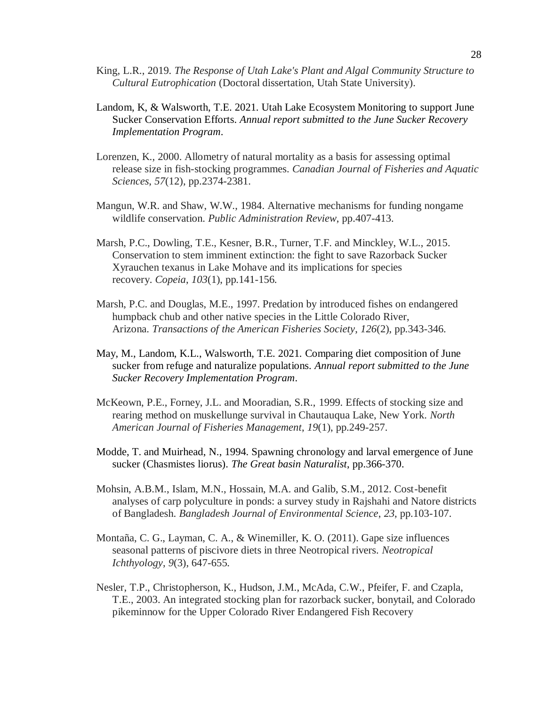- King, L.R., 2019. *The Response of Utah Lake's Plant and Algal Community Structure to Cultural Eutrophication* (Doctoral dissertation, Utah State University).
- Landom, K, & Walsworth, T.E. 2021. Utah Lake Ecosystem Monitoring to support June Sucker Conservation Efforts. *Annual report submitted to the June Sucker Recovery Implementation Program*.
- Lorenzen, K., 2000. Allometry of natural mortality as a basis for assessing optimal release size in fish-stocking programmes. *Canadian Journal of Fisheries and Aquatic Sciences*, *57*(12), pp.2374-2381.
- Mangun, W.R. and Shaw, W.W., 1984. Alternative mechanisms for funding nongame wildlife conservation. *Public Administration Review*, pp.407-413.
- Marsh, P.C., Dowling, T.E., Kesner, B.R., Turner, T.F. and Minckley, W.L., 2015. Conservation to stem imminent extinction: the fight to save Razorback Sucker Xyrauchen texanus in Lake Mohave and its implications for species recovery. *Copeia*, *103*(1), pp.141-156.
- Marsh, P.C. and Douglas, M.E., 1997. Predation by introduced fishes on endangered humpback chub and other native species in the Little Colorado River, Arizona. *Transactions of the American Fisheries Society*, *126*(2), pp.343-346.
- May, M., Landom, K.L., Walsworth, T.E. 2021. Comparing diet composition of June sucker from refuge and naturalize populations. *Annual report submitted to the June Sucker Recovery Implementation Program*.
- McKeown, P.E., Forney, J.L. and Mooradian, S.R., 1999. Effects of stocking size and rearing method on muskellunge survival in Chautauqua Lake, New York. *North American Journal of Fisheries Management*, *19*(1), pp.249-257.
- Modde, T. and Muirhead, N., 1994. Spawning chronology and larval emergence of June sucker (Chasmistes liorus). *The Great basin Naturalist*, pp.366-370.
- Mohsin, A.B.M., Islam, M.N., Hossain, M.A. and Galib, S.M., 2012. Cost-benefit analyses of carp polyculture in ponds: a survey study in Rajshahi and Natore districts of Bangladesh. *Bangladesh Journal of Environmental Science*, *23*, pp.103-107.
- Montaña, C. G., Layman, C. A., & Winemiller, K. O. (2011). Gape size influences seasonal patterns of piscivore diets in three Neotropical rivers. *Neotropical Ichthyology*, *9*(3), 647-655.
- Nesler, T.P., Christopherson, K., Hudson, J.M., McAda, C.W., Pfeifer, F. and Czapla, T.E., 2003. An integrated stocking plan for razorback sucker, bonytail, and Colorado pikeminnow for the Upper Colorado River Endangered Fish Recovery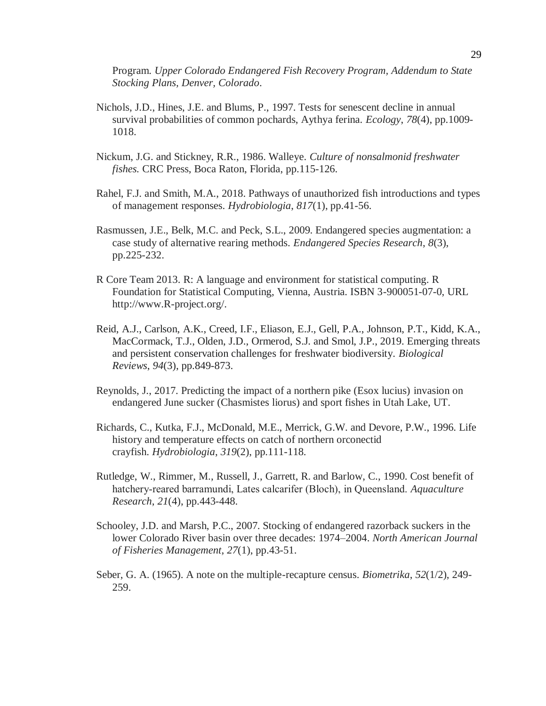Program. *Upper Colorado Endangered Fish Recovery Program, Addendum to State Stocking Plans, Denver, Colorado*.

- Nichols, J.D., Hines, J.E. and Blums, P., 1997. Tests for senescent decline in annual survival probabilities of common pochards, Aythya ferina. *Ecology*, *78*(4), pp.1009- 1018.
- Nickum, J.G. and Stickney, R.R., 1986. Walleye. *Culture of nonsalmonid freshwater fishes.* CRC Press, Boca Raton, Florida, pp.115-126.
- Rahel, F.J. and Smith, M.A., 2018. Pathways of unauthorized fish introductions and types of management responses. *Hydrobiologia*, *817*(1), pp.41-56.
- Rasmussen, J.E., Belk, M.C. and Peck, S.L., 2009. Endangered species augmentation: a case study of alternative rearing methods. *Endangered Species Research*, *8*(3), pp.225-232.
- R Core Team 2013. R: A language and environment for statistical computing. R Foundation for Statistical Computing, Vienna, Austria. ISBN 3-900051-07-0, URL http://www.R-project.org/.
- Reid, A.J., Carlson, A.K., Creed, I.F., Eliason, E.J., Gell, P.A., Johnson, P.T., Kidd, K.A., MacCormack, T.J., Olden, J.D., Ormerod, S.J. and Smol, J.P., 2019. Emerging threats and persistent conservation challenges for freshwater biodiversity. *Biological Reviews*, *94*(3), pp.849-873.
- Reynolds, J., 2017. Predicting the impact of a northern pike (Esox lucius) invasion on endangered June sucker (Chasmistes liorus) and sport fishes in Utah Lake, UT.
- Richards, C., Kutka, F.J., McDonald, M.E., Merrick, G.W. and Devore, P.W., 1996. Life history and temperature effects on catch of northern orconectid crayfish. *Hydrobiologia*, *319*(2), pp.111-118.
- Rutledge, W., Rimmer, M., Russell, J., Garrett, R. and Barlow, C., 1990. Cost benefit of hatchery‐reared barramundi, Lates calcarifer (Bloch), in Queensland. *Aquaculture Research*, *21*(4), pp.443-448.
- Schooley, J.D. and Marsh, P.C., 2007. Stocking of endangered razorback suckers in the lower Colorado River basin over three decades: 1974–2004. *North American Journal of Fisheries Management*, *27*(1), pp.43-51.
- Seber, G. A. (1965). A note on the multiple-recapture census. *Biometrika*, *52*(1/2), 249- 259.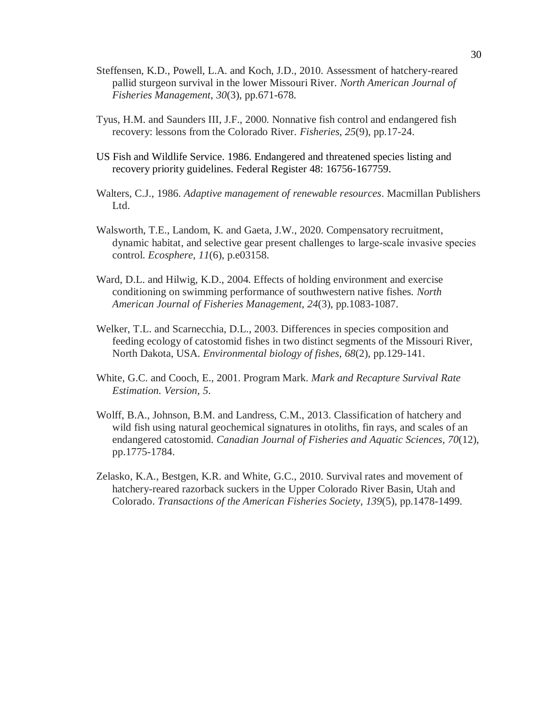- Steffensen, K.D., Powell, L.A. and Koch, J.D., 2010. Assessment of hatchery-reared pallid sturgeon survival in the lower Missouri River. *North American Journal of Fisheries Management*, *30*(3), pp.671-678.
- Tyus, H.M. and Saunders III, J.F., 2000. Nonnative fish control and endangered fish recovery: lessons from the Colorado River. *Fisheries*, *25*(9), pp.17-24.
- US Fish and Wildlife Service. 1986. Endangered and threatened species listing and recovery priority guidelines. Federal Register 48: 16756-167759.
- Walters, C.J., 1986. *Adaptive management of renewable resources*. Macmillan Publishers Ltd.
- Walsworth, T.E., Landom, K. and Gaeta, J.W., 2020. Compensatory recruitment, dynamic habitat, and selective gear present challenges to large‐scale invasive species control. *Ecosphere*, *11*(6), p.e03158.
- Ward, D.L. and Hilwig, K.D., 2004. Effects of holding environment and exercise conditioning on swimming performance of southwestern native fishes. *North American Journal of Fisheries Management*, *24*(3), pp.1083-1087.
- Welker, T.L. and Scarnecchia, D.L., 2003. Differences in species composition and feeding ecology of catostomid fishes in two distinct segments of the Missouri River, North Dakota, USA. *Environmental biology of fishes*, *68*(2), pp.129-141.
- White, G.C. and Cooch, E., 2001. Program Mark. *Mark and Recapture Survival Rate Estimation. Version*, *5*.
- Wolff, B.A., Johnson, B.M. and Landress, C.M., 2013. Classification of hatchery and wild fish using natural geochemical signatures in otoliths, fin rays, and scales of an endangered catostomid. *Canadian Journal of Fisheries and Aquatic Sciences*, *70*(12), pp.1775-1784.
- Zelasko, K.A., Bestgen, K.R. and White, G.C., 2010. Survival rates and movement of hatchery-reared razorback suckers in the Upper Colorado River Basin, Utah and Colorado. *Transactions of the American Fisheries Society*, *139*(5), pp.1478-1499.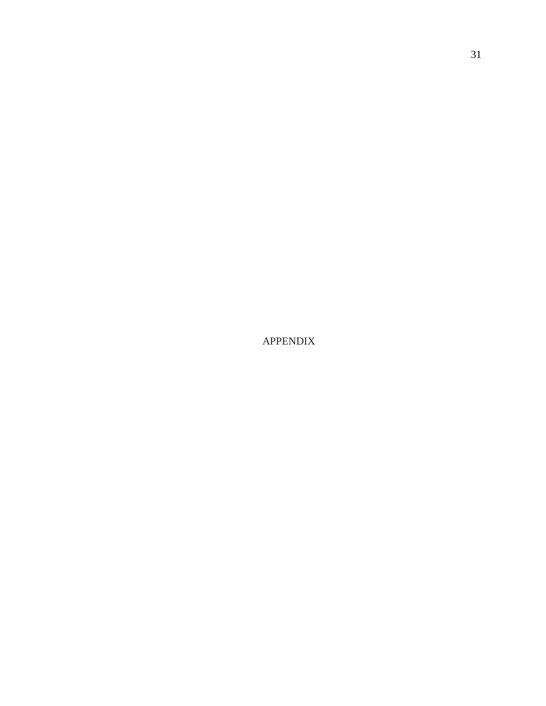APPENDIX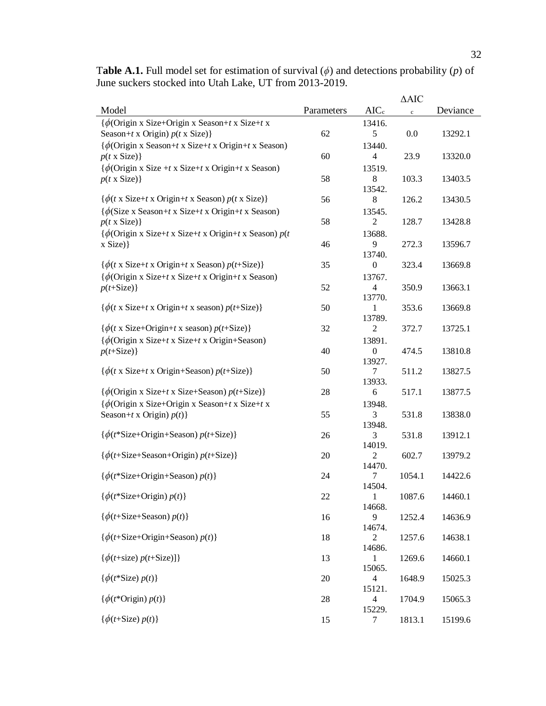|                                                                                                              |            |                  | $\triangle$ AIC |          |
|--------------------------------------------------------------------------------------------------------------|------------|------------------|-----------------|----------|
| Model                                                                                                        | Parameters | $AIC_c$          | $\rm c$         | Deviance |
| $\{\phi$ (Origin x Size+Origin x Season+t x Size+t x                                                         |            | 13416.           |                 |          |
| Season+t x Origin) $p(t \times Size)$ }                                                                      | 62         | 5                | $0.0\,$         | 13292.1  |
| $\{\phi$ (Origin x Season+t x Size+t x Origin+t x Season)                                                    |            | 13440.           |                 |          |
| $p(t \times Size)$ }                                                                                         | 60         | $\overline{4}$   | 23.9            | 13320.0  |
|                                                                                                              |            |                  |                 |          |
| $\{\phi$ (Origin x Size +t x Size+t x Origin+t x Season)                                                     |            | 13519.           |                 |          |
| $p(t \times Size)$ }                                                                                         | 58         | $\,8\,$          | 103.3           | 13403.5  |
|                                                                                                              |            | 13542.           |                 |          |
| $\{\phi(t \times \text{Size} + t \times \text{Original} + t \times \text{Season}) p(t \times \text{Size})\}$ | 56         | $\,8\,$          | 126.2           | 13430.5  |
| $\{\phi(\text{Size } x \text{ Season} + t \text{ x Size} + t \text{ x Origin} + t \text{ x Season})\}$       |            | 13545.           |                 |          |
| $p(t \times Size)$ }                                                                                         | 58         | $\overline{2}$   | 128.7           | 13428.8  |
| $\{\phi$ (Origin x Size+t x Size+t x Origin+t x Season) $p(t)$                                               |            | 13688.           |                 |          |
| $x$ Size) }                                                                                                  | 46         | 9                | 272.3           | 13596.7  |
|                                                                                                              |            | 13740.           |                 |          |
| $\{\phi(t \times \text{Size} + t \times \text{Original} + t \times \text{Season}) p(t+\text{Size})\}$        | 35         | $\boldsymbol{0}$ | 323.4           | 13669.8  |
| $\{\phi$ (Origin x Size+t x Size+t x Origin+t x Season)                                                      |            | 13767.           |                 |          |
| $p(t+Size)$ }                                                                                                | 52         | 4                | 350.9           | 13663.1  |
|                                                                                                              |            | 13770.           |                 |          |
| $\{\phi(t \times \text{Size} + t \times \text{Original} + t \times \text{ season})\}$                        | 50         | 1                | 353.6           | 13669.8  |
|                                                                                                              |            | 13789.           |                 |          |
| $\{\phi(t \times \text{Size} + \text{Original} + t \times \text{ season}) p(t+\text{Size})\}$                | 32         | $\overline{2}$   | 372.7           | 13725.1  |
|                                                                                                              |            |                  |                 |          |
| $\{\phi$ (Origin x Size+t x Size+t x Origin+Season)                                                          |            | 13891.           |                 |          |
| $p(t+Size)$ }                                                                                                | 40         | $\boldsymbol{0}$ | 474.5           | 13810.8  |
|                                                                                                              |            | 13927.           |                 |          |
| $\{\phi(t \times \text{Size} + t \times \text{Original} + \text{Season}) p(t + \text{Size})\}$               | 50         | 7                | 511.2           | 13827.5  |
|                                                                                                              |            | 13933.           |                 |          |
| $\{\phi$ (Origin x Size+t x Size+Season) $p(t+Size)$ }                                                       | 28         | 6                | 517.1           | 13877.5  |
| $\{\phi$ (Origin x Size+Origin x Season+t x Size+t x                                                         |            | 13948.           |                 |          |
| Season+t x Origin) $p(t)$ }                                                                                  | 55         | 3                | 531.8           | 13838.0  |
|                                                                                                              |            | 13948.           |                 |          |
| $\{\phi(t)$ *Size+Origin+Season) $p(t)$ +Size)}                                                              | 26         | 3                | 531.8           | 13912.1  |
|                                                                                                              |            | 14019.           |                 |          |
| $\{\phi(t+Size + \text{Season} + \text{Origin})\ p(t+Size)\}\$                                               | 20         | $\mathfrak{2}$   | 602.7           | 13979.2  |
|                                                                                                              |            | 14470.           |                 |          |
| $\{\phi(t^*\text{Size}+\text{Original}+\text{Season})\,p(t)\}\$                                              | 24         | 7                | 1054.1          | 14422.6  |
|                                                                                                              |            | 14504.           |                 |          |
| $\{\phi(t^*\text{Size}+\text{Origin}) p(t)\}\$                                                               | 22         | 1                | 1087.6          | 14460.1  |
|                                                                                                              |            | 14668.           |                 |          |
| $\{\phi(t+\text{Size}+\text{Season}) p(t)\}\$                                                                | 16         | 9                | 1252.4          | 14636.9  |
|                                                                                                              |            | 14674.           |                 |          |
| $\{\phi(t+\text{Size}+\text{Original}+\text{Season})\,p(t)\}\$                                               | 18         | 2                | 1257.6          | 14638.1  |
|                                                                                                              |            | 14686.           |                 |          |
| $\{\phi(t+size) p(t+size)]\}$                                                                                | 13         | 1                | 1269.6          | 14660.1  |
|                                                                                                              |            | 15065.           |                 |          |
| $\{\phi(t^*\text{Size})\,p(t)\}\$                                                                            | 20         | $\overline{4}$   | 1648.9          | 15025.3  |
|                                                                                                              |            | 15121.           |                 |          |
| $\{\phi(t^*\text{Origin})\,p(t)\}\$                                                                          | 28         | $\overline{4}$   | 1704.9          | 15065.3  |
|                                                                                                              |            | 15229.           |                 |          |
| $\{\phi(t+Size) p(t)\}\$                                                                                     | 15         | 7                | 1813.1          | 15199.6  |

T**able A.1.** Full model set for estimation of survival (*ϕ*) and detections probability (*p*) of June suckers stocked into Utah Lake, UT from 2013-2019.